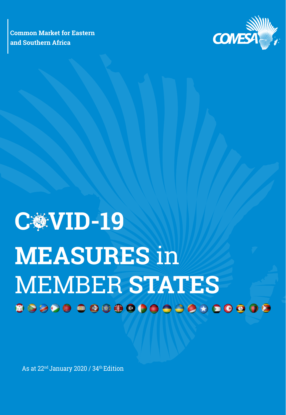**Common Market for Eastern and Southern Africa**



# C **變 VID-19 MEASURES** in MEMBER **STATES**

As at 22<sup>nd</sup> January 2020 / 34<sup>th</sup> Edition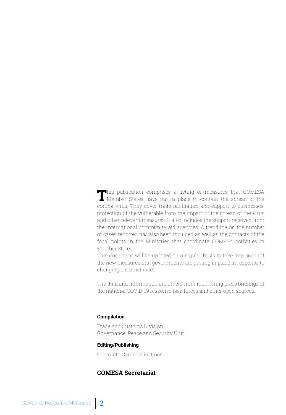This publication comprises a listing of measures that COMESA<br>Member States have put in place to contain the spread of the corona virus. They cover trade facilitation and support to businesses, protection of the vulnerable from the impact of the spread of the virus and other relevant measures. It also includes the support received from the international community aid agencies. A trendline on the number of cases reported has also been included as well as the contacts of the focal points in the Ministries that coordinate COMESA activities in Member States.

This document will be updated on a regular basis to take into account the new measures that governments are putting in place in response to changing circumstances.

The data and information are drawn from monitoring press briefings of the national COVID-19 response task forces and other open sources.

#### **Compilation**

Trade and Customs Division Governance, Peace and Security Unit

#### **Editing/Publishing**

Corporate Communications

#### **COMESA Secretariat**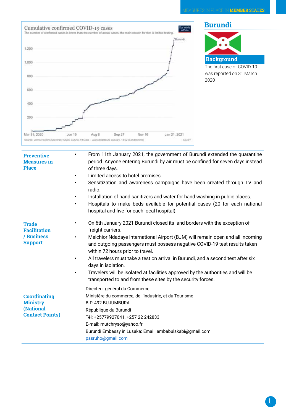

| <b>Preventive</b><br><b>Measures</b> in<br><b>Place</b>                       | From 11th January 2021, the government of Burundi extended the quarantine<br>$\bullet$<br>period. Anyone entering Burundi by air must be confined for seven days instead<br>of three days.<br>Limited access to hotel premises.<br>$\bullet$<br>Sensitization and awareness campaigns have been created through TV and<br>$\bullet$<br>radio.<br>Installation of hand sanitizers and water for hand washing in public places.<br>$\bullet$<br>Hospitals to make beds available for potential cases (20 for each national<br>٠<br>hospital and five for each local hospital).                                        |
|-------------------------------------------------------------------------------|---------------------------------------------------------------------------------------------------------------------------------------------------------------------------------------------------------------------------------------------------------------------------------------------------------------------------------------------------------------------------------------------------------------------------------------------------------------------------------------------------------------------------------------------------------------------------------------------------------------------|
| <b>Trade</b><br><b>Facilitation</b><br>/ Business<br><b>Support</b>           | On 6th January 2021 Burundi closed its land borders with the exception of<br>$\bullet$<br>freight carriers.<br>Melchior Ndadaye International Airport (BJM) will remain open and all incoming<br>$\bullet$<br>and outgoing passengers must possess negative COVID-19 test results taken<br>within 72 hours prior to travel.<br>All travelers must take a test on arrival in Burundi, and a second test after six<br>$\bullet$<br>days in isolation.<br>Travelers will be isolated at facilities approved by the authorities and will be<br>$\bullet$<br>transported to and from these sites by the security forces. |
| <b>Coordinating</b><br><b>Ministry</b><br>(National<br><b>Contact Points)</b> | Directeur général du Commerce<br>Ministère du commerce, de l'Industrie, et du Tourisme<br>B.P. 492 BUJUMBURA<br>République du Burundi<br>Tél: +25779927041, +257 22 242833<br>E-mail: mutchryso@yahoo.fr<br>Burundi Embassy in Lusaka: Email: ambabulskabi@gmail.com<br>pasruho@gmail.com                                                                                                                                                                                                                                                                                                                           |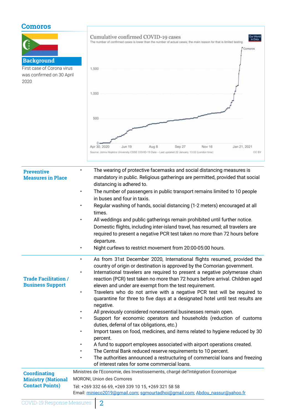## **Comoros**

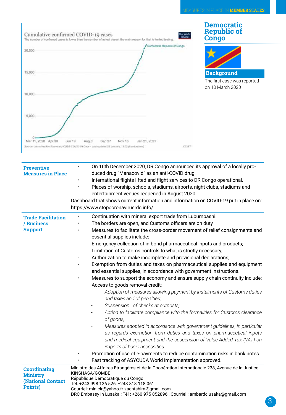

| <b>Preventive</b><br><b>Measures in Place</b>                          | On 16th December 2020, DR Congo announced its approval of a locally pro-<br>$\bullet$<br>duced drug "Manacovid" as an anti-COVID drug.<br>International flights lifted and flight services to DR Congo operational.<br>Places of worship, schools, stadiums, airports, night clubs, stadiums and<br>entertainment venues reopened in August 2020.<br>Dashboard that shows current information and information on COVID-19 put in place on:<br>https://www.stopcoronavirusrdc.info/                                                                                                                                                                                                                                                                                                                                                                                                                                                                                                                                                                                                                                                                                                                                                                                                                                                                            |
|------------------------------------------------------------------------|---------------------------------------------------------------------------------------------------------------------------------------------------------------------------------------------------------------------------------------------------------------------------------------------------------------------------------------------------------------------------------------------------------------------------------------------------------------------------------------------------------------------------------------------------------------------------------------------------------------------------------------------------------------------------------------------------------------------------------------------------------------------------------------------------------------------------------------------------------------------------------------------------------------------------------------------------------------------------------------------------------------------------------------------------------------------------------------------------------------------------------------------------------------------------------------------------------------------------------------------------------------------------------------------------------------------------------------------------------------|
| <b>Trade Facilitation</b><br>/ Business<br><b>Support</b>              | Continuation with mineral export trade from Lubumbashi.<br>The borders are open, and Customs officers are on duty<br>Measures to facilitate the cross-border movement of relief consignments and<br>essential supplies include:<br>Emergency collection of in-bond pharmaceutical inputs and products;<br>Limitation of Customs controls to what is strictly necessary;<br>Authorization to make incomplete and provisional declarations;<br>Exemption from duties and taxes on pharmaceutical supplies and equipment<br>and essential supplies, in accordance with government instructions.<br>Measures to support the economy and ensure supply chain continuity include:<br>Access to goods removal credit;<br>Adoption of measures allowing payment by instalments of Customs duties<br>and taxes and of penalties;<br>Suspension of checks at outposts;<br>Action to facilitate compliance with the formalities for Customs clearance<br>of goods;<br>Measures adopted in accordance with government guidelines, in particular<br>as regards exemption from duties and taxes on pharmaceutical inputs<br>and medical equipment and the suspension of Value-Added Tax (VAT) on<br>imports of basic necessities.<br>Promotion of use of e-payments to reduce contamination risks in bank notes.<br>Fast tracking of ASYCUDA World Implementation approved. |
| <b>Coordinating</b><br><b>Ministry</b><br>(National Contact<br>Points) | Ministre des Affaires Etrangères et de la Coopération Internationale 238, Avenue de la Justice<br>KINSHASA/GOMBE<br>République Démocratique du Congo<br>Tél: +243 998 126 526, +243 818 118 061<br>Courriel: minicir@yahoo.fr zachtshim@gmail.com<br>DRC Embassy in Lusaka: Tél: +260 975 852896, Courriel: ambardclusaka@gmail.com                                                                                                                                                                                                                                                                                                                                                                                                                                                                                                                                                                                                                                                                                                                                                                                                                                                                                                                                                                                                                           |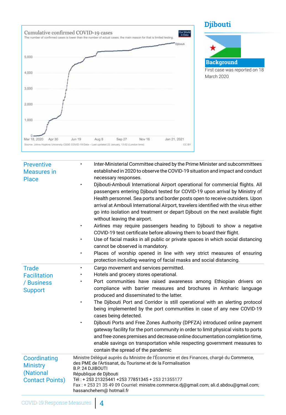





| <b>Preventive</b><br><b>Measures</b> in<br><b>Place</b>                | Inter-Ministerial Committee chaired by the Prime Minister and subcommittees<br>$\bullet$<br>established in 2020 to observe the COVID-19 situation and impact and conduct<br>necessary responses.<br>Djibouti-Ambouli International Airport operational for commercial flights. All<br>passengers entering Djibouti tested for COVID-19 upon arrival by Ministry of<br>Health personnel. Sea ports and border posts open to receive outsiders. Upon<br>arrival at Ambouli International Airport, travelers identified with the virus either<br>go into isolation and treatment or depart Djibouti on the next available flight<br>without leaving the airport.<br>Airlines may require passengers heading to Djibouti to show a negative<br>COVID-19 test certificate before allowing them to board their flight.<br>Use of facial masks in all public or private spaces in which social distancing<br>cannot be observed is mandatory.<br>Places of worship opened in line with very strict measures of ensuring<br>protection including wearing of facial masks and social distancing. |
|------------------------------------------------------------------------|-----------------------------------------------------------------------------------------------------------------------------------------------------------------------------------------------------------------------------------------------------------------------------------------------------------------------------------------------------------------------------------------------------------------------------------------------------------------------------------------------------------------------------------------------------------------------------------------------------------------------------------------------------------------------------------------------------------------------------------------------------------------------------------------------------------------------------------------------------------------------------------------------------------------------------------------------------------------------------------------------------------------------------------------------------------------------------------------|
| <b>Trade</b><br><b>Facilitation</b><br>/ Business<br><b>Support</b>    | Cargo movement and services permitted.<br>Hotels and grocery stores operational.<br>Port communities have raised awareness among Ethiopian drivers on<br>compliance with barrier measures and brochures in Amharic language<br>produced and disseminated to the latter.<br>The Djibouti Port and Corridor is still operational with an alerting protocol<br>being implemented by the port communities in case of any new COVID-19<br>cases being detected.<br>Djibouti Ports and Free Zones Authority (DPFZA) introduced online payment<br>gateway facility for the port community in order to limit physical visits to ports<br>and free-zones premises and decrease online documentation completion time,<br>enable savings on transportation while respecting government measures to<br>contain the spread of the pandemic                                                                                                                                                                                                                                                           |
| Coordinating<br><b>Ministry</b><br>(National<br><b>Contact Points)</b> | Ministre Délégué auprès du Ministre de l'Économie et des Finances, chargé du Commerce,<br>des PME de l'Artisanat, du Tourisme et de la Formalisation<br>B.P. 24 DJIBOUTI<br>République de Djibouti<br>Tél: + 253 21325441 +253 77851345 + 253 21355177<br>Fax: +25321354909 Courriel: ministre.commerce.dj@gmail.com; ali.d.abdou@gmail.com;<br>hassanchehem@ hotmail.fr                                                                                                                                                                                                                                                                                                                                                                                                                                                                                                                                                                                                                                                                                                                |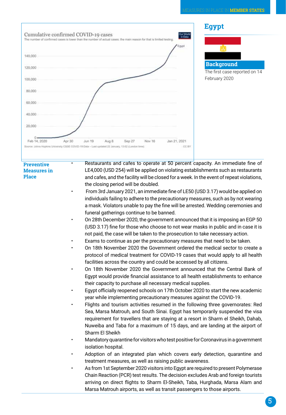

• Restaurants and cafes to operate at 50 percent capacity. An immediate fine of LE4,000 (USD 254) will be applied on violating establishments such as restaurants and cafes, and the facility will be closed for a week. In the event of repeat violations, the closing period will be doubled.

- From 3rd January 2021, an immediate fine of LE50 (USD 3.17) would be applied on individuals failing to adhere to the precautionary measures, such as by not wearing a mask. Violators unable to pay the fine will be arrested. Wedding ceremonies and funeral gatherings continue to be banned.
- On 28th December 2020, the government announced that it is imposing an EGP 50 (USD 3.17) fine for those who choose to not wear masks in public and in case it is not paid, the case will be taken to the prosecution to take necessary action.
- Exams to continue as per the precautionary measures that need to be taken.
- On 18th November 2020 the Government ordered the medical sector to create a protocol of medical treatment for COVID-19 cases that would apply to all health facilities across the country and could be accessed by all citizens.
- On 18th November 2020 the Government announced that the Central Bank of Egypt would provide financial assistance to all health establishments to enhance their capacity to purchase all necessary medical supplies.
- Egypt officially reopened schools on 17th October 2020 to start the new academic year while implementing precautionary measures against the COVID-19.
- Flights and tourism activities resumed in the following three governorates: Red Sea, Marsa Matrouh, and South Sinai. Egypt has temporarily suspended the visa requirement for travellers that are staying at a resort in Sharm el Sheikh, Dahab, Nuweiba and Taba for a maximum of 15 days, and are landing at the airport of Sharm El Sheikh
- Mandatory quarantine for visitors who test positive for Coronavirus in a government isolation hospital.
- Adoption of an integrated plan which covers early detection, quarantine and treatment measures, as well as raising public awareness.
- As from 1st September 2020 visitors into Egypt are required to present Polymerase Chain Reaction (PCR) test results. The decision excludes Arab and foreign tourists arriving on direct flights to Sharm El-Sheikh, Taba, Hurghada, Marsa Alam and Marsa Matrouh airports, as well as transit passengers to those airports.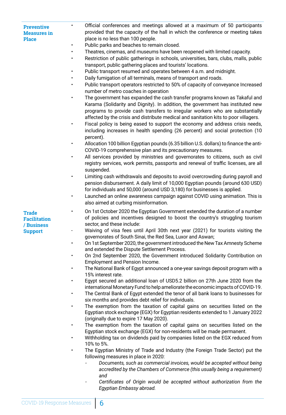| <b>Preventive</b>  |  |
|--------------------|--|
| <b>Measures</b> in |  |
| <b>Place</b>       |  |

| $\bullet$ | Official conferences and meetings allowed at a maximum of 50 participants       |
|-----------|---------------------------------------------------------------------------------|
|           | provided that the capacity of the hall in which the conference or meeting takes |
|           | place is no less than 100 people.                                               |
| $\bullet$ | Public parks and beaches to remain closed.                                      |

- Theatres, cinemas, and museums have been reopened with limited capacity.
- Restriction of public gatherings in schools, universities, bars, clubs, malls, public transport, public gathering places and tourists' locations.
- Public transport resumed and operates between 4 a.m. and midnight.
- Daily fumigation of all terminals, means of transport and roads.
- Public transport operators restricted to 50% of capacity of conveyance Increased number of metro coaches in operation
- The government has expanded the cash transfer programs known as Takaful and Karama (Solidarity and Dignity). In addition, the government has instituted new programs to provide cash transfers to irregular workers who are substantially affected by the crisis and distribute medical and sanitation kits to poor villagers.
- Fiscal policy is being eased to support the economy and address crisis needs, including increases in health spending (26 percent) and social protection (10 percent).
- Allocation 100 billion Egyptian pounds (6.35 billion U.S. dollars) to finance the anti-COVID-19 comprehensive plan and its precautionary measures.
- All services provided by ministries and governorates to citizens, such as civil registry services, work permits, passports and renewal of traffic licenses, are all suspended.
- Limiting cash withdrawals and deposits to avoid overcrowding during payroll and pension disbursement. A daily limit of 10,000 Egyptian pounds (around 630 USD) for individuals and 50,000 (around USD 3,180) for businesses is applied.
- Launched an online awareness campaign against COVID using animation. This is also aimed at curbing misinformation.
- On 1st October 2020 the Egyptian Government extended the duration of a number of policies and incentives designed to boost the country's struggling tourism sector, and these include:
- Waiving of visa fees until April 30th next year (2021) for tourists visiting the governorates of South Sinai, the Red Sea, Luxor and Aswan;
- On 1st September 2020, the government introduced the New Tax Amnesty Scheme and extended the Dispute Settlement Process.
- On 2nd September 2020, the Government introduced Solidarity Contribution on Employment and Pension Income.
- The National Bank of Egypt announced a one-year savings deposit program with a 15% interest rate.
- Egypt secured an additional loan of USD5.2 billion on 27th June 2020 from the international Monetary Fund to help ameliorate the economic impacts of COVID-19.
- The Central Bank of Egypt extended the tenor of all bank loans to businesses for six months and provides debt relief for individuals.
- The exemption from the taxation of capital gains on securities listed on the Egyptian stock exchange (EGX) for Egyptian residents extended to 1 January 2022 (originally due to expire 17 May 2020).
- The exemption from the taxation of capital gains on securities listed on the Egyptian stock exchange (EGX) for non-residents will be made permanent.
- Withholding tax on dividends paid by companies listed on the EGX reduced from 10% to 5%.
- The Egyptian Ministry of Trade and Industry (the Foreign Trade Sector) put the following measures in place in 2020:
	- *- Documents, such as commercial invoices, would be accepted without being accredited by the Chambers of Commerce (this usually being a requirement) and*
	- *- Certificates of Origin would be accepted without authorization from the Egyptian Embassy abroad.*

**Trade Facilitation / Business Support**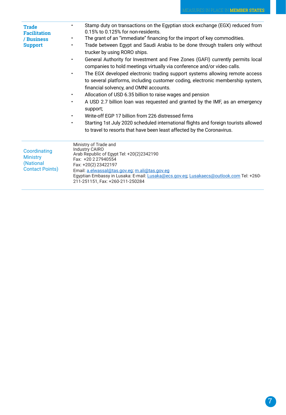| <b>Trade</b><br><b>Facilitation</b><br>/ Business<br><b>Support</b>    | Stamp duty on transactions on the Egyptian stock exchange (EGX) reduced from<br>0.15% to 0.125% for non-residents.<br>The grant of an "immediate" financing for the import of key commodities.<br>Trade between Egypt and Saudi Arabia to be done through trailers only without<br>trucker by using RORO ships.<br>General Authority for Investment and Free Zones (GAFI) currently permits local<br>companies to hold meetings virtually via conference and/or video calls.<br>The EGX developed electronic trading support systems allowing remote access<br>to several platforms, including customer coding, electronic membership system,<br>financial solvency, and OMNI accounts.<br>Allocation of USD 6.35 billion to raise wages and pension<br>A USD 2.7 billion loan was requested and granted by the IMF, as an emergency<br>$\bullet$<br>support;<br>Write-off EGP 17 billion from 226 distressed firms<br>Starting 1st July 2020 scheduled international flights and foreign tourists allowed<br>to travel to resorts that have been least affected by the Coronavirus. |
|------------------------------------------------------------------------|--------------------------------------------------------------------------------------------------------------------------------------------------------------------------------------------------------------------------------------------------------------------------------------------------------------------------------------------------------------------------------------------------------------------------------------------------------------------------------------------------------------------------------------------------------------------------------------------------------------------------------------------------------------------------------------------------------------------------------------------------------------------------------------------------------------------------------------------------------------------------------------------------------------------------------------------------------------------------------------------------------------------------------------------------------------------------------------|
| Coordinating<br><b>Ministry</b><br>(National<br><b>Contact Points)</b> | Ministry of Trade and<br><b>Industry CAIRO</b><br>Arab Republic of Egypt Tel: +20(2)2342190<br>Fax: +20 2 27940554<br>Fax: +20(2) 23422197<br>Email: a.elwassal@tas.gov.eg; m.ali@tas.gov.eg<br>Egyptian Embassy in Lusaka: E-mail: Lusaka@ecs.gov.eg; Lusakaecs@outlook.com Tel: +260-<br>211-251151, Fax: +260-211-250284                                                                                                                                                                                                                                                                                                                                                                                                                                                                                                                                                                                                                                                                                                                                                          |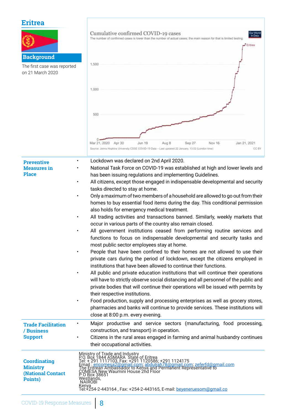# **Eritrea**

| euca<br><b>Background</b><br>The first case was reported<br>on 21 March 2020  | Cumulative confirmed COVID-19 cases<br>Dur Work<br>in Data<br>The number of confirmed cases is lower than the number of actual cases; the main reason for that is limited testing<br>Eritrea<br>1,500<br>1,000<br>500                                                                                                                                                                                                                                                                                                                                                                                                                                                                                                                                                                                                                                                                                                                                                                                                                                                                                                                                                                                                                                                                                                                                                                                                                                                                                                                                                                                                        |
|-------------------------------------------------------------------------------|------------------------------------------------------------------------------------------------------------------------------------------------------------------------------------------------------------------------------------------------------------------------------------------------------------------------------------------------------------------------------------------------------------------------------------------------------------------------------------------------------------------------------------------------------------------------------------------------------------------------------------------------------------------------------------------------------------------------------------------------------------------------------------------------------------------------------------------------------------------------------------------------------------------------------------------------------------------------------------------------------------------------------------------------------------------------------------------------------------------------------------------------------------------------------------------------------------------------------------------------------------------------------------------------------------------------------------------------------------------------------------------------------------------------------------------------------------------------------------------------------------------------------------------------------------------------------------------------------------------------------|
|                                                                               | Mar 21, 2020 Apr 30<br>Nov 16<br>Jan 21, 2021<br>Jun 19<br>Aug 8<br>Sep 27<br>CC BY<br>Source: Johns Hopkins University CSSE COVID-19 Data - Last updated 22 January, 13:02 (London time)                                                                                                                                                                                                                                                                                                                                                                                                                                                                                                                                                                                                                                                                                                                                                                                                                                                                                                                                                                                                                                                                                                                                                                                                                                                                                                                                                                                                                                    |
| <b>Preventive</b><br><b>Measures</b> in<br><b>Place</b><br>٠                  | Lockdown was declared on 2nd April 2020.<br>National Task Force on COVID-19 was established at high and lower levels and<br>has been issuing regulations and implementing Guidelines.<br>All citizens, except those engaged in indispensable developmental and security<br>tasks directed to stay at home.<br>Only a maximum of two members of a household are allowed to go out from their<br>homes to buy essential food items during the day. This conditional permission<br>also holds for emergency medical treatment.<br>All trading activities and transactions banned. Similarly, weekly markets that<br>occur in various parts of the country also remain closed.<br>All government institutions ceased from performing routine services and<br>functions to focus on indispensable developmental and security tasks and<br>most public sector employees stay at home.<br>People that have been confined to their homes are not allowed to use their<br>private cars during the period of lockdown, except the citizens employed in<br>institutions that have been allowed to continue their functions.<br>All public and private education institutions that will continue their operations<br>will have to strictly observe social distancing and all personnel of the public and<br>private bodies that will continue their operations will be issued with permits by<br>their respective institutions.<br>Food production, supply and processing enterprises as well as grocery stores,<br>pharmacies and banks will continue to provide services. These institutions will<br>close at 8:00 p.m. every evening. |
| ٠<br><b>Trade Facilitation</b><br>/ Business<br><b>Support</b>                | Major productive and service sectors (manufacturing, food processing,<br>construction, and transport) in operation.<br>Citizens in the rural areas engaged in farming and animal husbandry continues<br>their occupational activities.                                                                                                                                                                                                                                                                                                                                                                                                                                                                                                                                                                                                                                                                                                                                                                                                                                                                                                                                                                                                                                                                                                                                                                                                                                                                                                                                                                                       |
| <b>Coordinating</b><br><b>Ministry</b><br><b>(National Contact</b><br>Points) | Ministry of Trade and Industry<br>P.O. Box 1844 ASMARA State of Eritrea<br>Tel: + 291 1117103, Fax: +291 1120586; +291 1124175<br>Email : ericomesa2@gmail.com; abdulrah78@gmail.com; zeferfd@gmail.com<br>The Eritrean Ambassador to Keny<br>Kënya<br>Tel:+254-2-443164 , Fax: +254-2-443165, E-mail: <u>beyeneruesom@gmail.co</u>                                                                                                                                                                                                                                                                                                                                                                                                                                                                                                                                                                                                                                                                                                                                                                                                                                                                                                                                                                                                                                                                                                                                                                                                                                                                                          |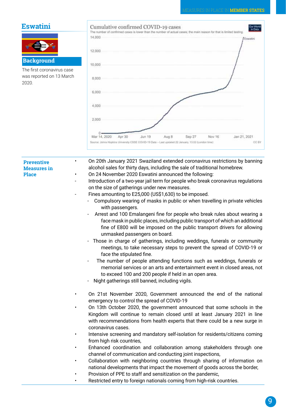## **Eswatini**



The first coronavirus case was reported on 13 March 2020.



**Preventive Measures in Place**

• On 20th January 2021 Swaziland extended coronavirus restrictions by banning alcohol sales for thirty days, including the sale of traditional homebrew.

- On 24 November 2020 Eswatini announced the following:
	- Introduction of a two-year jail term for people who break coronavirus regulations on the size of gatherings under new measures.
- Fines amounting to E25,000 (US\$1,630) to be imposed.
	- Compulsory wearing of masks in public or when travelling in private vehicles with passengers.
	- Arrest and 100 Emalangeni fine for people who break rules about wearing a face mask in public places, including public transport of which an additional fine of E800 will be imposed on the public transport drivers for allowing unmasked passengers on board.
	- Those in charge of gatherings, including weddings, funerals or community meetings, to take necessary steps to prevent the spread of COVID-19 or face the stipulated fine.
	- The number of people attending functions such as weddings, funerals or memorial services or an arts and entertainment event in closed areas, not to exceed 100 and 200 people if held in an open area.
	- Night gatherings still banned, including vigils.
- On 21st November 2020, Government announced the end of the national emergency to control the spread of COVID-19
- On 13th October 2020, the government announced that some schools in the Kingdom will continue to remain closed until at least January 2021 in line with recommendations from health experts that there could be a new surge in coronavirus cases.
- Intensive screening and mandatory self-isolation for residents/citizens coming from high risk countries,
- Enhanced coordination and collaboration among stakeholders through one channel of communication and conducting joint inspections,
- Collaboration with neighboring countries through sharing of information on national developments that impact the movement of goods across the border,
- Provision of PPE to staff and sensitization on the pandemic,
- Restricted entry to foreign nationals coming from high-risk countries.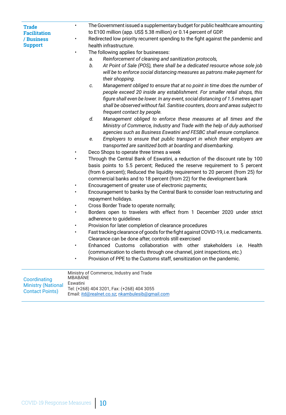| <b>Trade</b><br><b>Facilitation</b> | The Government issued a supplementary budget for public healthcare amounting<br>$\bullet$<br>to E100 million (app. US\$ 5.38 million) or 0.14 percent of GDP.                                                                         |
|-------------------------------------|---------------------------------------------------------------------------------------------------------------------------------------------------------------------------------------------------------------------------------------|
| / Business                          | Redirected low priority recurrent spending to the fight against the pandemic and<br>٠                                                                                                                                                 |
| <b>Support</b>                      | health infrastructure.                                                                                                                                                                                                                |
|                                     | The following applies for businesses:<br>$\bullet$                                                                                                                                                                                    |
|                                     | Reinforcement of cleaning and sanitization protocols,<br>a.                                                                                                                                                                           |
|                                     | b.<br>At Point of Sale (POS), there shall be a dedicated resource whose sole job<br>will be to enforce social distancing measures as patrons make payment for<br>their shopping.                                                      |
|                                     | Management obliged to ensure that at no point in time does the number of<br>C.                                                                                                                                                        |
|                                     | people exceed 20 inside any establishment. For smaller retail shops, this                                                                                                                                                             |
|                                     | figure shall even be lower. In any event, social distancing of 1.5 metres apart                                                                                                                                                       |
|                                     | shall be observed without fail. Sanitise counters, doors and areas subject to                                                                                                                                                         |
|                                     | frequent contact by people.                                                                                                                                                                                                           |
|                                     | d.<br>Management obliged to enforce these measures at all times and the                                                                                                                                                               |
|                                     | Ministry of Commerce, Industry and Trade with the help of duly authorised                                                                                                                                                             |
|                                     | agencies such as Business Eswatini and FESBC shall ensure compliance.                                                                                                                                                                 |
|                                     | Employers to ensure that public transport in which their employers are<br>е.                                                                                                                                                          |
|                                     | transported are sanitized both at boarding and disembarking.                                                                                                                                                                          |
|                                     | Deco Shops to operate three times a week                                                                                                                                                                                              |
|                                     | Through the Central Bank of Eswatini, a reduction of the discount rate by 100                                                                                                                                                         |
|                                     | basis points to 5.5 percent; Reduced the reserve requirement to 5 percent<br>(from 6 percent); Reduced the liquidity requirement to 20 percent (from 25) for<br>commercial banks and to 18 percent (from 22) for the development bank |
|                                     | Encouragement of greater use of electronic payments;<br>$\bullet$                                                                                                                                                                     |
|                                     | Encouragement to banks by the Central Bank to consider loan restructuring and<br>$\bullet$                                                                                                                                            |
|                                     | repayment holidays.                                                                                                                                                                                                                   |
|                                     | Cross Border Trade to operate normally;                                                                                                                                                                                               |
|                                     | Borders open to travelers with effect from 1 December 2020 under strict                                                                                                                                                               |
|                                     | adherence to guidelines                                                                                                                                                                                                               |
|                                     | Provision for later completion of clearance procedures                                                                                                                                                                                |
|                                     | Fast tracking clearance of goods for the fight against COVID-19, i.e. medicaments.<br>$\bullet$                                                                                                                                       |
|                                     | Clearance can be done after, controls still exercised                                                                                                                                                                                 |
|                                     | Customs collaboration with other stakeholders i.e.<br>Enhanced<br>Health                                                                                                                                                              |
|                                     | (communication to clients through one channel, joint inspections, etc.)                                                                                                                                                               |
|                                     | Provision of PPE to the Customs staff, sensitization on the pandemic.                                                                                                                                                                 |
|                                     | Ministry of Commerce, Industry and Trade                                                                                                                                                                                              |
| Coordinating                        | <b>MBABANE</b><br>Eswatini                                                                                                                                                                                                            |
| <b>Ministry (National</b>           | Tel: (+268) 404 3201, Fax: (+268) 404 3055                                                                                                                                                                                            |
| <b>Contact Points)</b>              | Email: itd@realnet.co.sz; nkambulesib@qmail.com                                                                                                                                                                                       |
|                                     |                                                                                                                                                                                                                                       |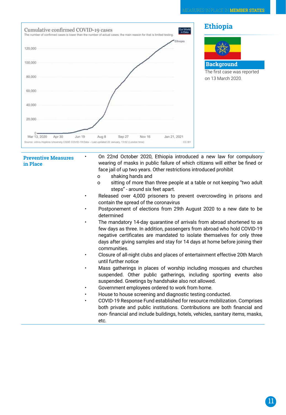

• On 22nd October 2020, Ethiopia introduced a new law for compulsory wearing of masks in public failure of which citizens will either be fined or face jail of up two years. Other restrictions introduced prohibit

- o shaking hands and
- o sitting of more than three people at a table or not keeping "two adult steps" - around six feet apart.
- Released over 4,000 prisoners to prevent overcrowding in prisons and contain the spread of the coronavirus
- Postponement of elections from 29th August 2020 to a new date to be determined
- The mandatory 14-day quarantine of arrivals from abroad shortened to as few days as three. In addition, passengers from abroad who hold COVID-19 negative certificates are mandated to isolate themselves for only three days after giving samples and stay for 14 days at home before joining their communities.
- Closure of all-night clubs and places of entertainment effective 20th March until further notice
- Mass gatherings in places of worship including mosques and churches suspended. Other public gatherings, including sporting events also suspended. Greetings by handshake also not allowed.
- Government employees ordered to work from home.
- House to house screening and diagnostic testing conducted.
- COVID-19 Response Fund established for resource mobilization. Comprises both private and public institutions. Contributions are both financial and non- financial and include buildings, hotels, vehicles, sanitary items, masks, etc.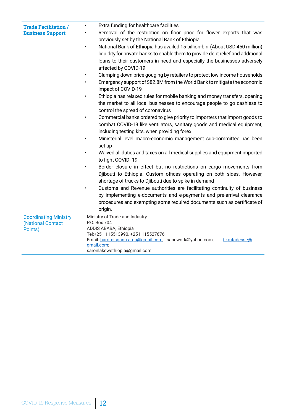| <b>Trade Facilitation /</b>  | Extra funding for healthcare facilities                                                                                                                                                                                                                                            |
|------------------------------|------------------------------------------------------------------------------------------------------------------------------------------------------------------------------------------------------------------------------------------------------------------------------------|
| <b>Business Support</b>      | Removal of the restriction on floor price for flower exports that was<br>$\bullet$<br>previously set by the National Bank of Ethiopia                                                                                                                                              |
|                              | National Bank of Ethiopia has availed 15-billion-birr (About USD 450 million)<br>$\bullet$<br>liquidity for private banks to enable them to provide debt relief and additional<br>loans to their customers in need and especially the businesses adversely<br>affected by COVID-19 |
|                              | Clamping down price gouging by retailers to protect low income households<br>Emergency support of \$82.8M from the World Bank to mitigate the economic<br>impact of COVID-19                                                                                                       |
|                              | Ethiopia has relaxed rules for mobile banking and money transfers, opening<br>the market to all local businesses to encourage people to go cashless to<br>control the spread of coronavirus                                                                                        |
|                              | Commercial banks ordered to give priority to importers that import goods to<br>$\bullet$<br>combat COVID-19 like ventilators, sanitary goods and medical equipment,<br>including testing kits, when providing forex.                                                               |
|                              | Ministerial level macro-economic management sub-committee has been<br>set up                                                                                                                                                                                                       |
|                              | Waived all duties and taxes on all medical supplies and equipment imported<br>to fight COVID-19                                                                                                                                                                                    |
|                              | Border closure in effect but no restrictions on cargo movements from<br>$\bullet$<br>Djibouti to Ethiopia. Custom offices operating on both sides. However,<br>shortage of trucks to Djibouti due to spike in demand                                                               |
|                              | Customs and Revenue authorities are facilitating continuity of business<br>$\bullet$<br>by implementing e-documents and e-payments and pre-arrival clearance<br>procedures and exempting some required documents such as certificate of<br>origin.                                 |
| <b>Coordinating Ministry</b> | Ministry of Trade and Industry                                                                                                                                                                                                                                                     |
| (National Contact            | P.O. Box 704                                                                                                                                                                                                                                                                       |
| Points)                      | ADDIS ABABA, Ethiopia                                                                                                                                                                                                                                                              |
|                              | Tel:+251 115513990, +251 115527676<br>Email: harrimisganu.arga@gmail.com; lisanework@yahoo.com;<br>fikrutadesse@                                                                                                                                                                   |
|                              | gmail.com;                                                                                                                                                                                                                                                                         |
|                              | saronlakewethiopia@gmail.com                                                                                                                                                                                                                                                       |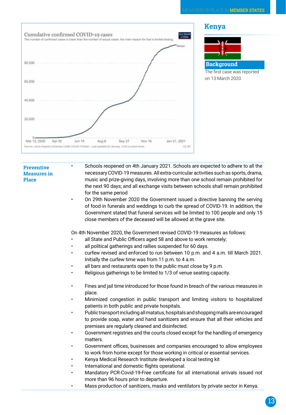

- Schools reopened on 4th January 2021. Schools are expected to adhere to all the necessary COVID-19 measures. All extra-curricular activities such as sports, drama, music and prize-giving days, involving more than one school remain prohibited for the next 90 days; and all exchange visits between schools shall remain prohibited for the same period
- On 29th November 2020 the Government issued a directive banning the serving of food in funerals and weddings to curb the spread of COVID-19. In addition, the Government stated that funeral services will be limited to 100 people and only 15 close members of the deceased will be allowed at the grave site.

On 4th November 2020, the Government revised COVID-19 measures as follows:

- all State and Public Officers aged 58 and above to work remotely;
- all political gatherings and rallies suspended for 60 days.
- curfew revised and enforced to run between 10 p.m. and 4 a.m. till March 2021. Initially the curfew time was from 11 p.m. to 4 a.m.
- all bars and restaurants open to the public must close by 9 p.m.
- Religious gatherings to be limited to 1/3 of venue seating capacity.
- Fines and jail time introduced for those found in breach of the various measures in place.
- Minimized congestion in public transport and limiting visitors to hospitalized patients in both public and private hospitals.
- Public transport including all matatus, hospitals and shopping malls are encouraged to provide soap, water and hand sanitizers and ensure that all their vehicles and premises are regularly cleaned and disinfected.
- Government registries and the courts closed except for the handling of emergency matters.
- Government offices, businesses and companies encouraged to allow employees to work from home except for those working in critical or essential services.
- Kenya Medical Research Institute developed a local testing kit
- International and domestic flights operational.
- Mandatory PCR-Covid-19-Free certificate for all international arrivals issued not more than 96 hours prior to departure.
- Mass production of sanitizers, masks and ventilators by private sector in Kenya.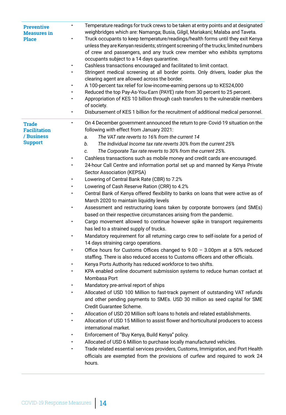| $\bullet$<br><b>Preventive</b><br><b>Measures</b> in<br><b>Place</b><br>$\bullet$               | Temperature readings for truck crews to be taken at entry points and at designated<br>weighbridges which are: Namanga; Busia, Gilgil, Mariakani; Malaba and Taveta.<br>Truck occupants to keep temperature/readings/health forms until they exit Kenya<br>unless they are Kenyan residents; stringent screening of the trucks; limited numbers<br>of crew and passengers, and any truck crew member who exhibits symptoms<br>occupants subject to a 14 days quarantine.<br>Cashless transactions encouraged and facilitated to limit contact.<br>Stringent medical screening at all border points. Only drivers, loader plus the<br>clearing agent are allowed across the border.<br>A 100-percent tax relief for low-income-earning persons up to KES24,000<br>Reduced the top Pay-As-You-Earn (PAYE) rate from 30 percent to 25 percent.<br>Appropriation of KES 10 billion through cash transfers to the vulnerable members<br>of society.<br>Disbursement of KES 1 billion for the recruitment of additional medical personnel.                                                                                                                                                                                                                                                                                                                                                                                                                                                                                                                                                                                                                                                                                                                                                                                                                                                                                                                                                                                                                                                                                                                                                                                                                       |
|-------------------------------------------------------------------------------------------------|-----------------------------------------------------------------------------------------------------------------------------------------------------------------------------------------------------------------------------------------------------------------------------------------------------------------------------------------------------------------------------------------------------------------------------------------------------------------------------------------------------------------------------------------------------------------------------------------------------------------------------------------------------------------------------------------------------------------------------------------------------------------------------------------------------------------------------------------------------------------------------------------------------------------------------------------------------------------------------------------------------------------------------------------------------------------------------------------------------------------------------------------------------------------------------------------------------------------------------------------------------------------------------------------------------------------------------------------------------------------------------------------------------------------------------------------------------------------------------------------------------------------------------------------------------------------------------------------------------------------------------------------------------------------------------------------------------------------------------------------------------------------------------------------------------------------------------------------------------------------------------------------------------------------------------------------------------------------------------------------------------------------------------------------------------------------------------------------------------------------------------------------------------------------------------------------------------------------------------------------------------------|
| ٠<br><b>Trade</b><br><b>Facilitation</b><br>/ Business<br><b>Support</b><br>٠<br>٠<br>$\bullet$ | On 4 December government announced the return to pre-Covid-19 situation on the<br>following with effect from January 2021:<br>The VAT rate reverts to 16% from the current 14<br>a.<br>The Individual Income tax rate reverts 30% from the current 25%<br>b.<br>The Corporate Tax rate reverts to 30% from the current 25%.<br>C.<br>Cashless transactions such as mobile money and credit cards are encouraged.<br>24-hour Call Centre and information portal set up and manned by Kenya Private<br>Sector Association (KEPSA)<br>Lowering of Central Bank Rate (CBR) to 7.2%<br>Lowering of Cash Reserve Ration (CRR) to 4.2%<br>Central Bank of Kenya offered flexibility to banks on loans that were active as of<br>March 2020 to maintain liquidity levels<br>Assessment and restructuring loans taken by corporate borrowers (and SMEs)<br>based on their respective circumstances arising from the pandemic.<br>Cargo movement allowed to continue however spike in transport requirements<br>has led to a strained supply of trucks.<br>Mandatory requirement for all returning cargo crew to self-isolate for a period of<br>14 days straining cargo operations.<br>Office hours for Customs Offices changed to $9.00 - 3.00$ pm at a 50% reduced<br>staffing. There is also reduced access to Customs officers and other officials.<br>Kenya Ports Authority has reduced workforce to two shifts.<br>KPA enabled online document submission systems to reduce human contact at<br>Mombasa Port<br>Mandatory pre-arrival report of ships<br>Allocated of USD 100 Million to fast-track payment of outstanding VAT refunds<br>and other pending payments to SMEs. USD 30 million as seed capital for SME<br>Credit Guarantee Scheme.<br>Allocation of USD 20 Million soft loans to hotels and related establishments.<br>Allocation of USD 15 Million to assist flower and horticultural producers to access<br>international market.<br>Enforcement of "Buy Kenya, Build Kenya" policy.<br>Allocated of USD 6 Million to purchase locally manufactured vehicles.<br>Trade related essential services providers, Customs, Immigration, and Port Health<br>officials are exempted from the provisions of curfew and required to work 24<br>hours. |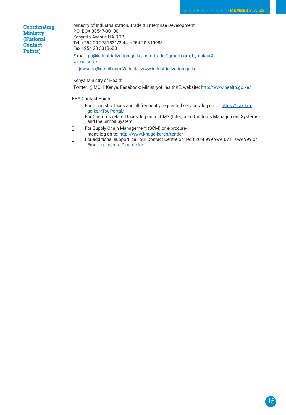| <b>Coordinating</b><br><b>Ministry</b><br><b>(National</b><br><b>Contact</b><br>Points) | Ministry of Industrialization, Trade & Enterprise Development<br>P.O. BOX 30547-00100<br>Kenyatta Avenue NAIROBI<br>Tel: +254-20 2731531/2-44, +254-20 310983<br>Fax +254 20 3313600 |
|-----------------------------------------------------------------------------------------|--------------------------------------------------------------------------------------------------------------------------------------------------------------------------------------|
|                                                                                         | E-mail: pa@industrialization.go.ke, psfortrade@gmail.com; b_makau@<br>yahoo.co.uk;                                                                                                   |
|                                                                                         | jnwkario@gmail.com Website: www.industrialization.go.ke                                                                                                                              |
|                                                                                         | Kenya Ministry of Health:<br>Twitter: @MOH_Kenya, Facebook: MinistryofHealthKE, website: <u>http://www.health.go.ke/</u>                                                             |
|                                                                                         | <b>KRA Contact Points:</b>                                                                                                                                                           |
|                                                                                         | For Domestic Taxes and all frequently requested services, log on to: https://itax.kra.<br>п<br>go.ke/KRA-Portal/                                                                     |
|                                                                                         | For Customs related taxes, log on to ICMS (Integrated Customs Management Systems)<br>П<br>and the Simba System                                                                       |
|                                                                                         | For Supply Chain Management (SCM) or e-procure-<br>П                                                                                                                                 |
|                                                                                         | ment, log on to: http://www.kra.go.ke/en/tender<br>For additional support, call our Contact Centre on Tel: 020 4 999 999, 0711 099 999 or<br>П<br>Email: callcentre@kra.go.ke        |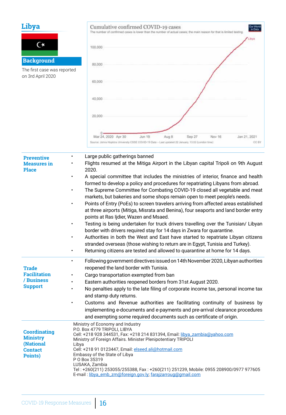| Libya<br>C*<br><b>Background</b><br>The first case was reported<br>on 3rd April 2020 | Cumulative confirmed COVID-19 cases<br>Our World<br>in Data<br>The number of confirmed cases is lower than the number of actual cases; the main reason for that is limited testing<br>Libya<br>100,000<br>80,000<br>60,000<br>40,000<br>20,000                                                                                                                                                                                                                                                                                                                                                                                                                                                                                                                                                                                                                                                                                                                                                                                                                                                             |
|--------------------------------------------------------------------------------------|------------------------------------------------------------------------------------------------------------------------------------------------------------------------------------------------------------------------------------------------------------------------------------------------------------------------------------------------------------------------------------------------------------------------------------------------------------------------------------------------------------------------------------------------------------------------------------------------------------------------------------------------------------------------------------------------------------------------------------------------------------------------------------------------------------------------------------------------------------------------------------------------------------------------------------------------------------------------------------------------------------------------------------------------------------------------------------------------------------|
|                                                                                      | Mar 24, 2020 Apr 30<br><b>Jun 19</b><br>Aug 8<br>Sep 27<br>Nov 16<br>Jan 21, 2021<br>CC BY<br>Source: Johns Hopkins University CSSE COVID-19 Data - Last updated 22 January, 13:02 (London time)                                                                                                                                                                                                                                                                                                                                                                                                                                                                                                                                                                                                                                                                                                                                                                                                                                                                                                           |
| <b>Preventive</b><br><b>Measures</b> in<br><b>Place</b>                              | Large public gatherings banned<br>Flights resumed at the Mitiga Airport in the Libyan capital Tripoli on 9th August<br>2020.<br>A special committee that includes the ministries of interior, finance and health<br>formed to develop a policy and procedures for repatriating Libyans from abroad.<br>The Supreme Committee for Combating COVID-19 closed all vegetable and meat<br>markets, but bakeries and some shops remain open to meet people's needs.<br>Points of Entry (PoEs) to screen travelers arriving from affected areas established<br>at three airports (Mitiga, Misrata and Benina), four seaports and land border entry<br>points at Ras Ijdier, Wazen and Msaed.<br>Testing is being undertaken for truck drivers travelling over the Tunisian/ Libyan<br>border with drivers required stay for 14 days in Zwara for quarantine.<br>Authorities in both the West and East have started to repatriate Libyan citizens<br>stranded overseas (those wishing to return are in Egypt, Tunisia and Turkey).<br>Returning citizens are tested and allowed to quarantine at home for 14 days. |
| <b>Trade</b><br><b>Facilitation</b><br>/ Business<br><b>Support</b>                  | Following government directives issued on 14th November 2020, Libyan authorities<br>$\bullet$<br>reopened the land border with Tunisia.<br>Cargo transportation exempted from ban<br>Eastern authorities reopened borders from 31st August 2020.<br>No penalties apply to the late filing of corporate income tax, personal income tax<br>and stamp duty returns.<br>Customs and Revenue authorities are facilitating continuity of business by<br>$\bullet$<br>implementing e-documents and e-payments and pre-arrival clearance procedures<br>and exempting some required documents such as certificate of origin.                                                                                                                                                                                                                                                                                                                                                                                                                                                                                       |
| <b>Coordinating</b><br><b>Ministry</b><br>(National<br><b>Contact</b><br>Points)     | Ministry of Economy and Industry<br>P.O. Box 4779 TRIPOLI, LIBYA<br>Cell: +218 928 344531, Fax: +218 214 831394, Email: libya_zambia@yahoo.com<br>Ministry of Foreign Affairs. Minister Plenipotentiary TRIPOLI<br>Libya<br>Cell: +218 91 0123447, Email: elseed.ali@hotmail.com<br>Embassy of the State of Libya<br>P O Box 35319<br>LUSAKA, Zambia<br>Tel: +260(211) 253055/255388, Fax: +260(211) 251239, Mobile: 0955 208900/0977 977605<br>E-mail: libya_emb_zm@foreign.gov.ly; farajzarroug@gmail.com                                                                                                                                                                                                                                                                                                                                                                                                                                                                                                                                                                                                |

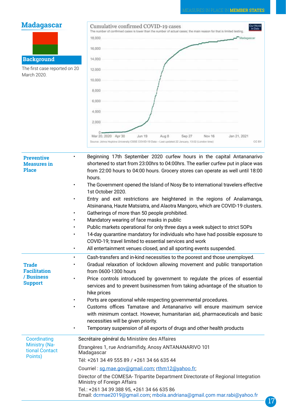| <b>Madagascar</b>                                       | Cumulative confirmed COVID-19 cases<br>Our World<br>in Data<br>The number of confirmed cases is lower than the number of actual cases; the main reason for that is limited testing<br>18,000<br>Madagascar                                               |
|---------------------------------------------------------|----------------------------------------------------------------------------------------------------------------------------------------------------------------------------------------------------------------------------------------------------------|
|                                                         | 16,000                                                                                                                                                                                                                                                   |
|                                                         |                                                                                                                                                                                                                                                          |
| <b>Background</b>                                       | 14,000                                                                                                                                                                                                                                                   |
| The first case reported on 20<br>March 2020.            | 12,000                                                                                                                                                                                                                                                   |
|                                                         | 10,000                                                                                                                                                                                                                                                   |
|                                                         | 8,000                                                                                                                                                                                                                                                    |
|                                                         | 6.000                                                                                                                                                                                                                                                    |
|                                                         | 4.000                                                                                                                                                                                                                                                    |
|                                                         |                                                                                                                                                                                                                                                          |
|                                                         | 2,000                                                                                                                                                                                                                                                    |
|                                                         | Mar 20, 2020 Apr 30<br>Jun 19<br>Sep 27<br>Nov 16<br>Jan 21, 2021<br>Aug 8<br>CC BY<br>Source: Johns Hopkins University CSSE COVID-19 Data - Last updated 22 January, 13:02 (London time)                                                                |
| <b>Preventive</b><br><b>Measures</b> in<br><b>Place</b> | Beginning 17th September 2020 curfew hours in the capital Antananarivo<br>shortened to start from 23:00hrs to 04:00hrs. The earlier curfew put in place was<br>from 22:00 hours to 04:00 hours. Grocery stores can operate as well until 18:00<br>hours. |
|                                                         | The Government opened the Island of Nosy Be to international travelers effective                                                                                                                                                                         |
|                                                         | 1st October 2020.<br>Entry and exit restrictions are heightened in the regions of Analamanga,                                                                                                                                                            |
|                                                         | Atsinanana, Haute Matsiatra, and Alaotra Mangoro, which are COVID-19 clusters.                                                                                                                                                                           |
|                                                         | Gatherings of more than 50 people prohibited.                                                                                                                                                                                                            |
|                                                         | Mandatory wearing of face masks in public                                                                                                                                                                                                                |
| $\bullet$                                               | Public markets operational for only three days a week subject to strict SOPs<br>14-day quarantine mandatory for individuals who have had possible exposure to                                                                                            |
|                                                         | COVID-19; travel limited to essential services and work                                                                                                                                                                                                  |
| ٠                                                       | All entertainment venues closed, and all sporting events suspended.                                                                                                                                                                                      |
| ٠<br><b>Trade</b><br>$\bullet$<br><b>Facilitation</b>   | Cash-transfers and in-kind necessities to the poorest and those unemployed.<br>Gradual relaxation of lockdown allowing movement and public transportation<br>from 0600-1300 hours                                                                        |
| / Business<br>$\bullet$<br><b>Support</b>               | Price controls introduced by government to regulate the prices of essential                                                                                                                                                                              |
|                                                         | services and to prevent businessmen from taking advantage of the situation to<br>hike prices                                                                                                                                                             |
|                                                         | Ports are operational while respecting governmental procedures.                                                                                                                                                                                          |
| $\bullet$                                               | Customs offices Tamatave and Antananarivo will ensure maximum service                                                                                                                                                                                    |
|                                                         | with minimum contact. However, humanitarian aid, pharmaceuticals and basic                                                                                                                                                                               |
| ٠                                                       | necessities will be given priority.<br>Temporary suspension of all exports of drugs and other health products                                                                                                                                            |
|                                                         |                                                                                                                                                                                                                                                          |
| Coordinating<br><b>Ministry (Na-</b>                    | Secrétaire général du Ministère des Affaires                                                                                                                                                                                                             |
| tional Contact                                          | Étrangères 1, rue Andriamifidy, Anosy ANTANANARIVO 101<br>Madagascar                                                                                                                                                                                     |
| Points)                                                 | Tél: +261 34 49 555 89 / +261 34 66 635 44                                                                                                                                                                                                               |
|                                                         | Courriel: sg.mae.gov@gmail.com; rthm12@yahoo.fr;                                                                                                                                                                                                         |
|                                                         | Director of the COMESA- Tripartite Department Directorate of Regional Integration<br>Ministry of Foreign Affairs                                                                                                                                         |
|                                                         | Tel.: +261 34 39 388 95, +261 34 66 635 86                                                                                                                                                                                                               |
|                                                         | Email: dcrmae2019@gmail.com; mbola.andriana@gmail.com mar.rabi@yahoo.fr                                                                                                                                                                                  |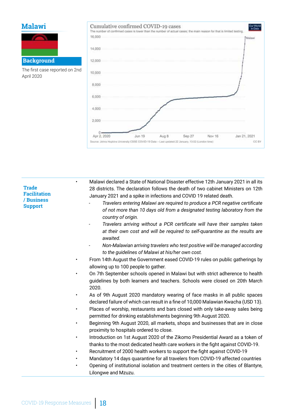## **Malawi**



The first case reported on 2nd April 2020



• Malawi declared a State of National Disaster effective 12th January 2021 in all its 28 districts. The declaration follows the death of two cabinet Ministers on 12th January 2021 and a spike in infections and COVID 19 related death.

- *- Travelers entering Malawi are required to produce a PCR negative certificate of not more than 10 days old from a designated testing laboratory from the country of origin.*
- *- Travelers arriving without a PCR certificate will have their samples taken at their own cost and will be required to self-quarantine as the results are awaited.*
- *- Non-Malawian arriving travelers who test positive will be managed according to the guidelines of Malawi at his/her own cost.*
- From 14th August the Government eased COVID-19 rules on public gatherings by allowing up to 100 people to gather.
- On 7th September schools opened in Malawi but with strict adherence to health guidelines by both learners and teachers. Schools were closed on 20th March 2020.
- As of 9th August 2020 mandatory wearing of face masks in all public spaces declared failure of which can result in a fine of 10,000 Malawian Kwacha (USD 13).
- Places of worship, restaurants and bars closed with only take-away sales being permitted for drinking establishments beginning 9th August 2020.
- Beginning 9th August 2020, all markets, shops and businesses that are in close proximity to hospitals ordered to close.
- Introduction on 1st August 2020 of the Zikomo Presidential Award as a token of thanks to the most dedicated health care workers in the fight against COVID-19.
- Recruitment of 2000 health workers to support the fight against COVID-19
- Mandatory 14 days quarantine for all travelers from COVID-19 affected countries
- Opening of institutional isolation and treatment centers in the cities of Blantyre, Lilongwe and Mzuzu.

**Trade Facilitation / Business Support**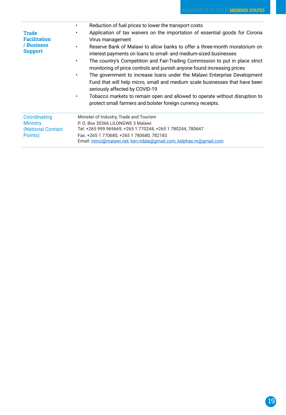|                                                                     | Reduction of fuel prices to lower the transport costs<br>$\bullet$                                                                                                                                                                                                                                                                                                                                                                                                                                                                                                                                                                                                                                                                                                                                               |  |  |
|---------------------------------------------------------------------|------------------------------------------------------------------------------------------------------------------------------------------------------------------------------------------------------------------------------------------------------------------------------------------------------------------------------------------------------------------------------------------------------------------------------------------------------------------------------------------------------------------------------------------------------------------------------------------------------------------------------------------------------------------------------------------------------------------------------------------------------------------------------------------------------------------|--|--|
| <b>Trade</b><br><b>Facilitation</b><br>/ Business<br><b>Support</b> | Application of tax waivers on the importation of essential goods for Corona<br>٠<br>Virus management<br>Reserve Bank of Malawi to allow banks to offer a three-month moratorium on<br>$\bullet$<br>interest payments on loans to small- and medium-sized businesses<br>The country's Competition and Fair-Trading Commission to put in place strict<br>$\bullet$<br>monitoring of price controls and punish anyone found increasing prices<br>The government to increase loans under the Malawi Enterprise Development<br>$\bullet$<br>Fund that will help micro, small and medium scale businesses that have been<br>seriously affected by COVID-19<br>Tobacco markets to remain open and allowed to operate without disruption to<br>$\bullet$<br>protect small farmers and bolster foreign currency receipts. |  |  |
| Coordinating<br><b>Ministry</b><br>(National Contact)<br>Points)    | Minister of Industry, Trade and Tourism<br>P.O. Box 30366 LILONGWE 3 Malawi<br>Tel: +265 999 969669; +265 1 770244, +265 1 780244, 780647<br>Fax: +265 1 770680, +265 1 780680, 782183<br>Email: minci@malawi.net; ken.ndala@gmail.com, kelphas.m@gmail.com                                                                                                                                                                                                                                                                                                                                                                                                                                                                                                                                                      |  |  |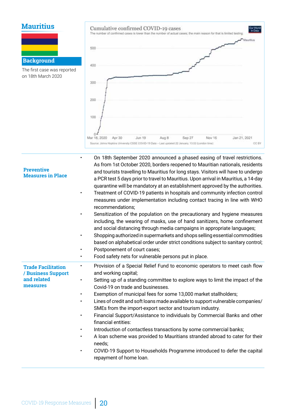# **Mauritius**



The first case was reported on 18th March 2020



| <b>Preventive</b><br><b>Measures in Place</b>                              | On 18th September 2020 announced a phased easing of travel restrictions.<br>As from 1st October 2020, borders reopened to Mauritian nationals, residents<br>and tourists travelling to Mauritius for long stays. Visitors will have to undergo<br>a PCR test 5 days prior to travel to Mauritius. Upon arrival in Mauritius, a 14-day<br>quarantine will be mandatory at an establishment approved by the authorities.<br>Treatment of COVID-19 patients in hospitals and community infection control<br>measures under implementation including contact tracing in line with WHO<br>recommendations;<br>Sensitization of the population on the precautionary and hygiene measures<br>including, the wearing of masks, use of hand sanitizers, home confinement<br>and social distancing through media campaigns in appropriate languages;<br>Shopping authorized in supermarkets and shops selling essential commodities<br>based on alphabetical order under strict conditions subject to sanitary control;<br>Postponement of court cases;<br>Food safety nets for vulnerable persons put in place.<br>$\bullet$ |
|----------------------------------------------------------------------------|---------------------------------------------------------------------------------------------------------------------------------------------------------------------------------------------------------------------------------------------------------------------------------------------------------------------------------------------------------------------------------------------------------------------------------------------------------------------------------------------------------------------------------------------------------------------------------------------------------------------------------------------------------------------------------------------------------------------------------------------------------------------------------------------------------------------------------------------------------------------------------------------------------------------------------------------------------------------------------------------------------------------------------------------------------------------------------------------------------------------|
| <b>Trade Facilitation</b><br>/ Business Support<br>and related<br>measures | Provision of a Special Relief Fund to economic operators to meet cash flow<br>$\bullet$<br>and working capital;<br>Setting up of a standing committee to explore ways to limit the impact of the<br>Covid-19 on trade and businesses.<br>Exemption of municipal fees for some 13,000 market stallholders;<br>$\bullet$<br>Lines of credit and soft loans made available to support vulnerable companies/<br>SMEs from the import-export sector and tourism industry.<br>Financial Support/Assistance to individuals by Commercial Banks and other<br>financial entities:<br>Introduction of contactless transactions by some commercial banks;<br>A loan scheme was provided to Mauritians stranded abroad to cater for their<br>$\bullet$<br>needs;<br>COVID-19 Support to Households Programme introduced to defer the capital<br>$\bullet$<br>repayment of home loan.                                                                                                                                                                                                                                            |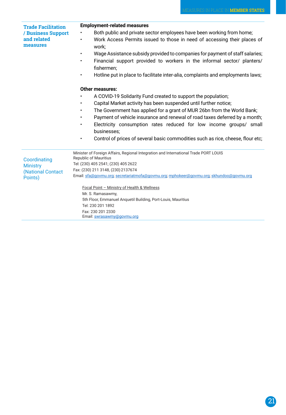| <b>Trade Facilitation</b>                     | <b>Employment-related measures</b>                                                                 |
|-----------------------------------------------|----------------------------------------------------------------------------------------------------|
| / Business Support<br>and related<br>measures | Both public and private sector employees have been working from home;                              |
|                                               | Work Access Permits issued to those in need of accessing their places of<br>$\bullet$<br>work;     |
|                                               | Wage Assistance subsidy provided to companies for payment of staff salaries;<br>$\bullet$          |
|                                               | Financial support provided to workers in the informal sector/ planters/<br>$\bullet$<br>fishermen; |
|                                               | Hotline put in place to facilitate inter-alia, complaints and employments laws;<br>$\bullet$       |
|                                               | Other measures:                                                                                    |
|                                               | A COVID-19 Solidarity Fund created to support the population;                                      |
|                                               | Capital Market activity has been suspended until further notice;<br>$\bullet$                      |
|                                               | The Government has applied for a grant of MUR 26bn from the World Bank;<br>$\bullet$               |
|                                               | Payment of vehicle insurance and renewal of road taxes deferred by a month;<br>$\bullet$           |
|                                               |                                                                                                    |
|                                               | Electricity consumption rates reduced for low income groups/ small<br>businesses;                  |
|                                               | Control of prices of several basic commodities such as rice, cheese, flour etc;<br>$\bullet$       |
|                                               | Minister of Foreign Affairs, Regional Integration and International Trade PORT LOUIS               |
| Coordinating                                  | <b>Republic of Mauritius</b><br>Tel: (230) 405 2541; (230) 405 2622                                |
| <b>Ministry</b><br>(National Contact          | Fax: (230) 211 3148, (230) 2137674                                                                 |
|                                               | Email: sfa@govmu.org; secretariatmofa@govmu.org; mphokeer@govmu.org; skhundoo@govmu.org            |
| Points)                                       |                                                                                                    |
|                                               | Focal Point - Ministry of Health & Wellness                                                        |
|                                               | Mr. S. Ramasawmy,                                                                                  |
|                                               | 5th Floor, Emmanuel Anquetil Building, Port-Louis, Mauritius                                       |
|                                               | Tel: 230 201 1892                                                                                  |
|                                               | Fax: 230 201 2330                                                                                  |

Email: swrasawmy@govmu.org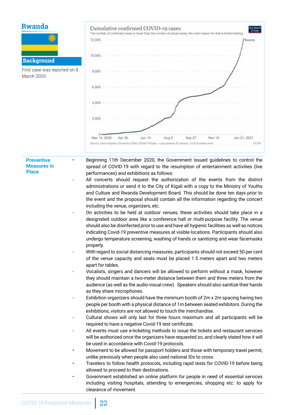# **Rwanda**

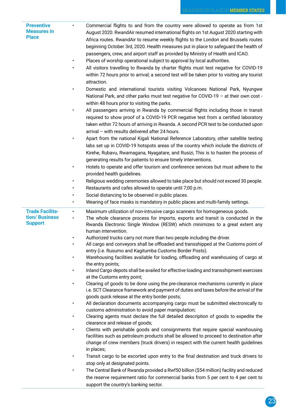| <b>Preventive</b><br><b>Measures in</b><br><b>Place</b>    | $\bullet$              | Commercial flights to and from the country were allowed to operate as from 1st<br>August 2020. RwandAir resumed international flights on 1st August 2020 starting with<br>Africa routes. RwandAir to resume weekly flights to the London and Brussels routes<br>beginning October 3rd, 2020. Health measures put in place to safeguard the health of<br>passengers, crew, and airport staff as provided by Ministry of Health and ICAO. |
|------------------------------------------------------------|------------------------|-----------------------------------------------------------------------------------------------------------------------------------------------------------------------------------------------------------------------------------------------------------------------------------------------------------------------------------------------------------------------------------------------------------------------------------------|
|                                                            |                        | Places of worship operational subject to approval by local authorities.<br>All visitors travelling to Rwanda by charter flights must test negative for COVID-19<br>within 72 hours prior to arrival; a second test will be taken prior to visiting any tourist                                                                                                                                                                          |
|                                                            |                        | attraction.                                                                                                                                                                                                                                                                                                                                                                                                                             |
|                                                            |                        | Domestic and international tourists visiting Volcanoes National Park, Nyungwe<br>National Park, and other parks must test negative for COVID-19 - at their own cost -<br>within 48 hours prior to visiting the parks.                                                                                                                                                                                                                   |
|                                                            |                        | All passengers arriving in Rwanda by commercial flights including those in transit<br>required to show proof of a COVID-19 PCR negative test from a certified laboratory<br>taken within 72 hours of arriving in Rwanda. A second PCR test to be conducted upon<br>arrival - with results delivered after 24 hours.                                                                                                                     |
|                                                            | $\bullet$              | Apart from the national Kigali National Reference Laboratory, other satellite testing<br>labs set up in COVID-19 hotspots areas of the country which include the districts of<br>Kirehe, Rubavu, Rwamagana, Nyagatare, and Rusizi, This is to hasten the process of<br>generating results for patients to ensure timely interventions.                                                                                                  |
|                                                            | $\bullet$              | Hotels to operate and offer tourism and conference services but must adhere to the<br>provided health guidelines.                                                                                                                                                                                                                                                                                                                       |
|                                                            | ٠                      | Religious wedding ceremonies allowed to take place but should not exceed 30 people.                                                                                                                                                                                                                                                                                                                                                     |
|                                                            | ٠                      | Restaurants and cafes allowed to operate until 7;00 p.m.                                                                                                                                                                                                                                                                                                                                                                                |
|                                                            |                        | Social distancing to be observed in public places.                                                                                                                                                                                                                                                                                                                                                                                      |
|                                                            | $\bullet$              | Wearing of face masks is mandatory in public places and multi-family settings.                                                                                                                                                                                                                                                                                                                                                          |
| <b>Trade Facilita-</b><br>tion/ Business<br><b>Support</b> | $\bullet$<br>$\bullet$ | Maximum utilization of non-intrusive cargo scanners for homogeneous goods.<br>The whole clearance process for imports, exports and transit is conducted in the<br>Rwanda Electronic Single Window (RESW) which minimizes to a great extent any<br>human intervention.                                                                                                                                                                   |
|                                                            |                        | Authorized trucks carry not more than two people including the driver.                                                                                                                                                                                                                                                                                                                                                                  |
|                                                            |                        | All cargo and conveyors shall be offloaded and transshipped at the Customs point of<br>entry (i.e. Rusumo and Kagitumba Customs Border Posts).                                                                                                                                                                                                                                                                                          |
|                                                            |                        | Warehousing facilities available for loading, offloading and warehousing of cargo at<br>the entry points;                                                                                                                                                                                                                                                                                                                               |
|                                                            |                        | Inland Cargo depots shall be availed for effective loading and transshipment exercises<br>at the Customs entry point;                                                                                                                                                                                                                                                                                                                   |
|                                                            | $\bullet$              | Clearing of goods to be done using the pre-clearance mechanisms currently in place<br>i.e. SCT Clearance framework and payment of duties and taxes before the arrival of the<br>goods quick release at the entry border posts;                                                                                                                                                                                                          |
|                                                            | $\bullet$              | All declaration documents accompanying cargo must be submitted electronically to<br>customs administration to avoid paper manipulation;                                                                                                                                                                                                                                                                                                 |
|                                                            |                        | Clearing agents must declare the full detailed description of goods to expedite the<br>clearance and release of goods;                                                                                                                                                                                                                                                                                                                  |
|                                                            | $\bullet$              | Clients with perishable goods and consignments that require special warehousing<br>facilities such as petroleum products shall be allowed to proceed to destination after<br>change of crew members (truck drivers) in respect with the current health guidelines<br>in places;                                                                                                                                                         |
|                                                            | $\bullet$              | Transit cargo to be escorted upon entry to the final destination and truck drivers to<br>stop only at designated points.                                                                                                                                                                                                                                                                                                                |
|                                                            |                        | The Central Bank of Rwanda provided a Rwf50 billion (\$54 million) facility and reduced<br>the reserve requirement ratio for commercial banks from 5 per cent to 4 per cent to<br>support the country's banking sector.                                                                                                                                                                                                                 |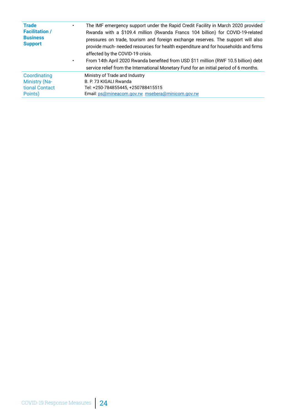| <b>Trade</b><br><b>Facilitation /</b><br><b>Business</b><br><b>Support</b> | The IMF emergency support under the Rapid Credit Facility in March 2020 provided<br>Rwanda with a \$109.4 million (Rwanda Francs 104 billion) for COVID-19-related<br>pressures on trade, tourism and foreign exchange reserves. The support will also<br>provide much- needed resources for health expenditure and for households and firms<br>affected by the COVID-19 crisis.<br>From 14th April 2020 Rwanda benefited from USD \$11 million (RWF 10.5 billion) debt<br>service relief from the International Monetary Fund for an initial period of 6 months. |
|----------------------------------------------------------------------------|-------------------------------------------------------------------------------------------------------------------------------------------------------------------------------------------------------------------------------------------------------------------------------------------------------------------------------------------------------------------------------------------------------------------------------------------------------------------------------------------------------------------------------------------------------------------|
| Coordinating                                                               | Ministry of Trade and Industry                                                                                                                                                                                                                                                                                                                                                                                                                                                                                                                                    |
| <b>Ministry (Na-</b>                                                       | B. P. 73 KIGALI Rwanda                                                                                                                                                                                                                                                                                                                                                                                                                                                                                                                                            |
| tional Contact                                                             | Tel: +250-784855445, +250788415515                                                                                                                                                                                                                                                                                                                                                                                                                                                                                                                                |
| Points)                                                                    | Email: ps@mineacom.gov.rw msebera@minicom.gov.rw                                                                                                                                                                                                                                                                                                                                                                                                                                                                                                                  |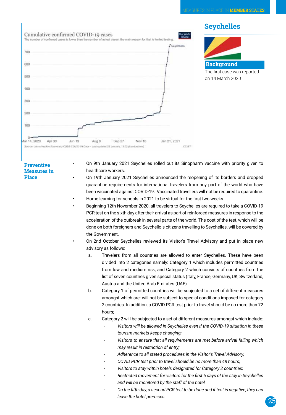

• On 9th January 2021 Seychelles rolled out its Sinopharm vaccine with priority given to healthcare workers.

- On 19th January 2021 Seychelles announced the reopening of its borders and dropped quarantine requirements for international travelers from any part of the world who have been vaccinated against COVID-19. Vaccinated travellers will not be required to quarantine.
- Home learning for schools in 2021 to be virtual for the first two weeks.
- Beginning 12th November 2020, all travelers to Seychelles are required to take a COVID-19 PCR test on the sixth day after their arrival as part of reinforced measures in response to the acceleration of the outbreak in several parts of the world. The cost of the test, which will be done on both foreigners and Seychellois citizens travelling to Seychelles, will be covered by the Government.
	- On 2nd October Seychelles reviewed its Visitor's Travel Advisory and put in place new advisory as follows:
		- a. Travelers from all countries are allowed to enter Seychelles. These have been divided into 2 categories namely: Category 1 which includes permitted countries from low and medium risk; and Category 2 which consists of countries from the list of seven countries given special status (Italy, France, Germany, UK, Switzerland, Austria and the United Arab Emirates (UAE).
		- b. Category 1 of permitted countries will be subjected to a set of different measures amongst which are: will not be subject to special conditions imposed for category 2 countries. In addition, a COVID PCR test prior to travel should be no more than 72 hours;
		- c. Category 2 will be subjected to a set of different measures amongst which include:
			- *Visitors will be allowed in Seychelles even if the COVID-19 situation in these tourism markets keeps changing;*
			- *- Visitors to ensure that all requirements are met before arrival failing which may result in restriction of entry;*
			- *- Adherence to all stated procedures in the Visitor's Travel Advisory;*
			- *- COVID PCR test prior to travel should be no more than 48 hours;*
			- *- Visitors to stay within hotels designated for Category 2 countries;*
			- *- Restricted movement for visitors for the first 5 days of the stay in Seychelles and will be monitored by the staff of the hotel*
			- *- On the fifth day, a second PCR test to be done and if test is negative, they can leave the hotel premises.*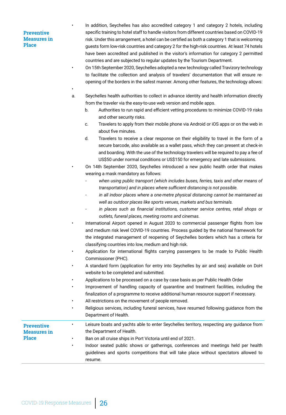•

• In addition, Seychelles has also accredited category 1 and category 2 hotels, including specific training to hotel staff to handle visitors from different countries based on COVID-19 risk. Under this arrangement, a hotel can be certified as both a category 1 that is welcoming guests form low-risk countries and category 2 for the high-risk countries. At least 74 hotels have been accredited and published in the visitor's information for category 2 permitted countries and are subjected to regular updates by the Tourism Department.

• On 15th September 2020, Seychelles adopted a new technology called Travizory technology to facilitate the collection and analysis of travelers' documentation that will ensure reopening of the borders in the safest manner. Among other features, the technology allows:

- a. Seychelles health authorities to collect in advance identity and health information directly from the traveler via the easy-to-use web version and mobile apps.
	- b. Authorities to run rapid and efficient vetting procedures to minimize COVID-19 risks and other security risks.
	- c. Travelers to apply from their mobile phone via Android or iOS apps or on the web in about five minutes.
	- d. Travelers to receive a clear response on their eligibility to travel in the form of a secure barcode, also available as a wallet pass, which they can present at check-in and boarding. With the use of the technology travelers will be required to pay a fee of US\$50 under normal conditions or US\$150 for emergency and late submissions.
- On 14th September 2020, Seychelles introduced a new public health order that makes wearing a mask mandatory as follows:
	- when using public transport (which includes buses, ferries, taxis and other means of *transportation) and in places where sufficient distancing is not possible.*
	- *- in all indoor places where a one-metre physical distancing cannot be maintained as well as outdoor places like sports venues, markets and bus terminals.*
	- *- in places such as financial institutions, customer service centres, retail shops or outlets, funeral places, meeting rooms and cinemas.*
- International Airport opened in August 2020 to commercial passenger flights from low and medium risk level COVID-19 countries. Process guided by the national framework for the integrated management of reopening of Seychelles borders which has a criteria for classifying countries into low, medium and high risk.
- Application for international flights carrying passengers to be made to Public Health Commissioner (PHC).
- A standard form (application for entry into Seychelles by air and sea) available on DoH website to be completed and submitted.
- Applications to be processed on a case by case basis as per Public Health Order
- Improvement of handling capacity of quarantine and treatment facilities, including the finalization of a programme to receive additional human resource support if necessary.
- All restrictions on the movement of people removed.
- Religious services, including funeral services, have resumed following guidance from the Department of Health.

| Indoor seated public shows or gatherings, conferences and meetings held per health<br>guidelines and sports competitions that will take place without spectators allowed to |
|-----------------------------------------------------------------------------------------------------------------------------------------------------------------------------|
|                                                                                                                                                                             |
|                                                                                                                                                                             |
|                                                                                                                                                                             |
|                                                                                                                                                                             |
| Leisure boats and yachts able to enter Seychelles territory, respecting any guidance from                                                                                   |
|                                                                                                                                                                             |

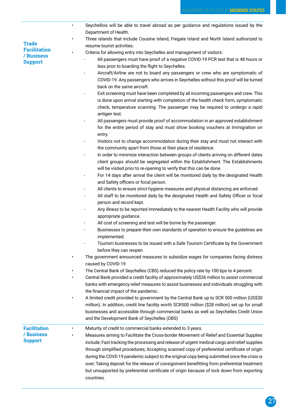| <b>Trade</b>        |  |
|---------------------|--|
| <b>Facilitation</b> |  |
| / Business          |  |
| <b>Support</b>      |  |

- Seychellois will be able to travel abroad as per guidance and regulations issued by the Department of Health.
- Three islands that include Cousine Island, Fregate Island and North Island authorized to resume tourist activities.
- Criteria for allowing entry into Seychelles and management of visitors:
	- All passengers must have proof of a negative COVID-19 PCR test that is 48 hours or less prior to boarding the flight to Seychelles.
	- Aircraft/Airline are not to board any passengers or crew who are symptomatic of COVID-19. Any passengers who arrives in Seychelles without this proof will be turned back on the same aircraft.
	- Exit screening must have been completed by all incoming passengers and crew. This is done upon arrival starting with completion of the health check form, symptomatic check, temperature scanning. The passenger may be required to undergo a rapid antigen test.
	- All passengers must provide proof of accommodation in an approved establishment for the entire period of stay and must show booking vouchers at Immigration on entry.
	- Visitors not to change accommodation during their stay and must not interact with the community apart from those at their place of residence.
	- In order to minimize interaction between groups of clients arriving on different dates client groups should be segregated within the Establishment. The Establishments will be visited prior to re-opening to verify that this can be done.
	- For 14 days after arrival the client will be monitored daily by the designated Health and Safety officers or focal person.
	- All clients to ensure strict hygiene measures and physical distancing are enforced.
	- All staff to be monitored daily by the designated Health and Safety Officer or focal person and record kept.
	- Any illness to be reported immediately to the nearest Health Facility who will provide appropriate guidance.
	- All cost of screening and test will be borne by the passenger.
	- Businesses to prepare their own standards of operation to ensure the quidelines are implemented.
	- Tourism businesses to be issued with a Safe Tourism Certificate by the Government before they can reopen
- The government announced measures to subsidize wages for companies facing distress caused by COVID-19
- The Central Bank of Seychelles (CBS) reduced the policy rate by 100 bps to 4 percent.
- Central Bank provided a credit facility of approximately US\$36 million to assist commercial banks with emergency relief measures to assist businesses and individuals struggling with the financial impact of the pandemic.
- A limited credit provided to government by the Central Bank up to SCR 500 million (US\$30 million). In addition, credit line facility worth SCR500 million (\$28 million) set up for small businesses and accessible through commercial banks as well as Seychelles Credit Union and the Development Bank of Seychelles (DBS)
- **Facilitation / Business Support** Maturity of credit to commercial banks extended to 3 years. • Measures aiming to Facilitate the Cross-border Movement of Relief and Essential Supplies include: Fast tracking the processing and release of urgent medical cargo and relief supplies through simplified procedures; Accepting scanned copy of preferential certificate of origin during the COVD 19 pandemic subject to the original copy being submitted once the crisis is over; Taking deposit for the release of consignment benefitting from preferential treatment but unsupported by preferential certificate of origin because of lock down from exporting countries.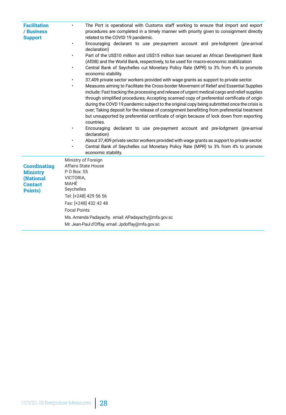| <b>Facilitation</b><br>/ Business<br><b>Support</b> | The Port is operational with Customs staff working to ensure that import and export<br>$\bullet$<br>procedures are completed in a timely manner with priority given to consignment directly<br>related to the COVID 19 pandemic.<br>Encouraging declarant to use pre-payment account and pre-lodgment (pre-arrival<br>declaration)                                                                                                                                                                                                                                                                                                                                                                                                                                                                                                                                                                                                                                                                       |
|-----------------------------------------------------|----------------------------------------------------------------------------------------------------------------------------------------------------------------------------------------------------------------------------------------------------------------------------------------------------------------------------------------------------------------------------------------------------------------------------------------------------------------------------------------------------------------------------------------------------------------------------------------------------------------------------------------------------------------------------------------------------------------------------------------------------------------------------------------------------------------------------------------------------------------------------------------------------------------------------------------------------------------------------------------------------------|
|                                                     | Part of the US\$10 million and US\$15 million loan secured an African Development Bank<br>(AfDB) and the World Bank, respectively, to be used for macro-economic stabilization                                                                                                                                                                                                                                                                                                                                                                                                                                                                                                                                                                                                                                                                                                                                                                                                                           |
|                                                     | Central Bank of Seychelles cut Monetary Policy Rate (MPR) to 3% from 4% to promote<br>economic stability.                                                                                                                                                                                                                                                                                                                                                                                                                                                                                                                                                                                                                                                                                                                                                                                                                                                                                                |
|                                                     | 37,409 private sector workers provided with wage grants as support to private sector.<br>Measures aiming to Facilitate the Cross-border Movement of Relief and Essential Supplies<br>include: Fast tracking the processing and release of urgent medical cargo and relief supplies<br>through simplified procedures; Accepting scanned copy of preferential certificate of origin<br>during the COVD 19 pandemic subject to the original copy being submitted once the crisis is<br>over; Taking deposit for the release of consignment benefitting from preferential treatment<br>but unsupported by preferential certificate of origin because of lock down from exporting<br>countries.<br>Encouraging declarant to use pre-payment account and pre-lodgment (pre-arrival<br>declaration)<br>About 37,409 private sector workers provided with wage grants as support to private sector.<br>Central Bank of Seychelles cut Monetary Policy Rate (MPR) to 3% from 4% to promote<br>economic stability. |
|                                                     | Ministry of Foreign<br><b>Affairs State House</b>                                                                                                                                                                                                                                                                                                                                                                                                                                                                                                                                                                                                                                                                                                                                                                                                                                                                                                                                                        |
| <b>Coordinating</b><br><b>Ministry</b>              | P O Box: 55                                                                                                                                                                                                                                                                                                                                                                                                                                                                                                                                                                                                                                                                                                                                                                                                                                                                                                                                                                                              |
| (National                                           | VICTORIA,                                                                                                                                                                                                                                                                                                                                                                                                                                                                                                                                                                                                                                                                                                                                                                                                                                                                                                                                                                                                |
| <b>Contact</b>                                      | MAHÉ                                                                                                                                                                                                                                                                                                                                                                                                                                                                                                                                                                                                                                                                                                                                                                                                                                                                                                                                                                                                     |
| Points)                                             | Seychelles                                                                                                                                                                                                                                                                                                                                                                                                                                                                                                                                                                                                                                                                                                                                                                                                                                                                                                                                                                                               |
|                                                     | Tel: [+248] 429 56 56                                                                                                                                                                                                                                                                                                                                                                                                                                                                                                                                                                                                                                                                                                                                                                                                                                                                                                                                                                                    |
|                                                     | Fax: [+248] 432 42 48                                                                                                                                                                                                                                                                                                                                                                                                                                                                                                                                                                                                                                                                                                                                                                                                                                                                                                                                                                                    |
|                                                     | <b>Focal Points</b>                                                                                                                                                                                                                                                                                                                                                                                                                                                                                                                                                                                                                                                                                                                                                                                                                                                                                                                                                                                      |
|                                                     | Ms. Amenda Padayachy. email: APadayachy@mfa.gov.sc                                                                                                                                                                                                                                                                                                                                                                                                                                                                                                                                                                                                                                                                                                                                                                                                                                                                                                                                                       |
|                                                     | Mr. Jean-Paul d'Offay. email: Jpdoffay@mfa.gov.sc                                                                                                                                                                                                                                                                                                                                                                                                                                                                                                                                                                                                                                                                                                                                                                                                                                                                                                                                                        |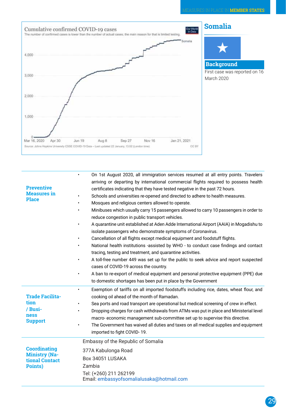

| <b>Preventive</b><br><b>Measures</b> in<br><b>Place</b>                    | On 1st August 2020, all immigration services resumed at all entry points. Travelers<br>$\bullet$<br>arriving or departing by international commercial flights required to possess health<br>certificates indicating that they have tested negative in the past 72 hours.<br>Schools and universities re-opened and directed to adhere to health measures.<br>$\bullet$<br>Mosques and religious centers allowed to operate.<br>Minibuses which usually carry 15 passengers allowed to carry 10 passengers in order to<br>$\bullet$<br>reduce congestion in public transport vehicles.<br>A quarantine unit established at Aden Adde International Airport (AAIA) in Mogadishu to<br>$\bullet$<br>isolate passengers who demonstrate symptoms of Coronavirus.<br>Cancellation of all flights except medical equipment and foodstuff flights.<br>National health institutions -assisted by WHO - to conduct case findings and contact<br>$\bullet$<br>tracing, testing and treatment, and quarantine activities.<br>A toll-free number 449 was set up for the public to seek advice and report suspected<br>$\bullet$<br>cases of COVID-19 across the country.<br>A ban to re-export of medical equipment and personal protective equipment (PPE) due<br>$\bullet$<br>to domestic shortages has been put in place by the Government |
|----------------------------------------------------------------------------|-----------------------------------------------------------------------------------------------------------------------------------------------------------------------------------------------------------------------------------------------------------------------------------------------------------------------------------------------------------------------------------------------------------------------------------------------------------------------------------------------------------------------------------------------------------------------------------------------------------------------------------------------------------------------------------------------------------------------------------------------------------------------------------------------------------------------------------------------------------------------------------------------------------------------------------------------------------------------------------------------------------------------------------------------------------------------------------------------------------------------------------------------------------------------------------------------------------------------------------------------------------------------------------------------------------------------------------|
| <b>Trade Facilita-</b><br>tion<br>/ Busi-<br><b>ness</b><br><b>Support</b> | Exemption of tariffs on all imported foodstuffs including rice, dates, wheat flour, and<br>$\bullet$<br>cooking oil ahead of the month of Ramadan.<br>Sea ports and road transport are operational but medical screening of crew in effect.<br>$\bullet$<br>Dropping charges for cash withdrawals from ATMs was put in place and Ministerial level<br>$\bullet$<br>macro-economic management sub-committee set up to supervise this directive.<br>The Government has waived all duties and taxes on all medical supplies and equipment<br>$\bullet$<br>imported to fight COVID-19.                                                                                                                                                                                                                                                                                                                                                                                                                                                                                                                                                                                                                                                                                                                                                |
| <b>Coordinating</b><br><b>Ministry (Na-</b><br>tional Contact<br>Points)   | Embassy of the Republic of Somalia<br>377A Kabulonga Road<br>Box 34051 LUSAKA<br>Zambia<br>Tel: (+260) 211 262199<br>Email: embassyofsomalialusaka@hotmail.com                                                                                                                                                                                                                                                                                                                                                                                                                                                                                                                                                                                                                                                                                                                                                                                                                                                                                                                                                                                                                                                                                                                                                                    |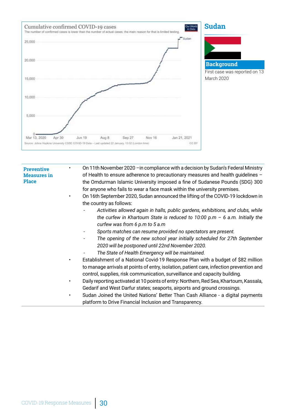

• On 11th November 2020 –in compliance with a decision by Sudan's Federal Ministry of Health to ensure adherence to precautionary measures and health guidelines – the Omdurman Islamic University imposed a fine of Sudanese Pounds (SDG) 300 for anyone who fails to wear a face mask within the university premises. • On 16th September 2020, Sudan announced the lifting of the COVID-19 lockdown in the country as follows:

- *Activities allowed again in halls, public gardens, exhibitions, and clubs, while the curfew in Khartoum State is reduced to 10:00 p.m – 6 a.m. Initially the curfew was from 6 p.m to 5 a.m*
- *- Sports matches can resume provided no spectators are present.*
- *- The opening of the new school year initially scheduled for 27th September 2020 will be postponed until 22nd November 2020.*
- *- The State of Health Emergency will be maintained.*
- Establishment of a National Covid-19 Response Plan with a budget of \$82 million to manage arrivals at points of entry, isolation, patient care, infection prevention and control, supplies, risk communication, surveillance and capacity building.
- Daily reporting activated at 10 points of entry: Northern, Red Sea, Khartoum, Kassala, Gedarif and West Darfur states; seaports, airports and ground crossings.
- Sudan Joined the United Nations' Better Than Cash Alliance a digital payments platform to Drive Financial Inclusion and Transparency.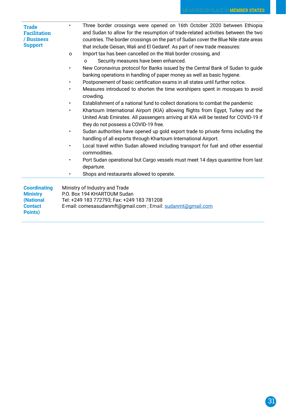| <b>Trade</b><br><b>Facilitation</b><br>/ Business<br><b>Support</b> | Three border crossings were opened on 16th October 2020 between Ethiopia<br>and Sudan to allow for the resumption of trade-related activities between the two<br>countries. The border crossings on the part of Sudan cover the Blue Nile state areas<br>that include Geisan, Wali and El Gedaref. As part of new trade measures:<br>Import tax has been cancelled on the Wali border crossing, and<br>$\Omega$<br>Security measures have been enhanced.<br>O<br>New Coronavirus protocol for Banks issued by the Central Bank of Sudan to guide<br>banking operations in handling of paper money as well as basic hygiene.<br>Postponement of basic certification exams in all states until further notice.<br>$\bullet$<br>Measures introduced to shorten the time worshipers spent in mosques to avoid<br>crowding.<br>Establishment of a national fund to collect donations to combat the pandemic<br>$\bullet$<br>Khartoum International Airport (KIA) allowing flights from Egypt, Turkey and the<br>United Arab Emirates. All passengers arriving at KIA will be tested for COVID-19 if<br>they do not possess a COVID-19 free.<br>Sudan authorities have opened up gold export trade to private firms including the<br>handling of all exports through Khartoum International Airport.<br>Local travel within Sudan allowed including transport for fuel and other essential<br>commodities.<br>Port Sudan operational but Cargo vessels must meet 14 days quarantine from last<br>departure.<br>Shops and restaurants allowed to operate. |
|---------------------------------------------------------------------|----------------------------------------------------------------------------------------------------------------------------------------------------------------------------------------------------------------------------------------------------------------------------------------------------------------------------------------------------------------------------------------------------------------------------------------------------------------------------------------------------------------------------------------------------------------------------------------------------------------------------------------------------------------------------------------------------------------------------------------------------------------------------------------------------------------------------------------------------------------------------------------------------------------------------------------------------------------------------------------------------------------------------------------------------------------------------------------------------------------------------------------------------------------------------------------------------------------------------------------------------------------------------------------------------------------------------------------------------------------------------------------------------------------------------------------------------------------------------------------------------------------------------------------------------|
| <b>Coordinating</b>                                                 | Ministry of Industry and Trade                                                                                                                                                                                                                                                                                                                                                                                                                                                                                                                                                                                                                                                                                                                                                                                                                                                                                                                                                                                                                                                                                                                                                                                                                                                                                                                                                                                                                                                                                                                     |
| <b>Ministry</b>                                                     | P.O. Box 194 KHARTOUM Sudan                                                                                                                                                                                                                                                                                                                                                                                                                                                                                                                                                                                                                                                                                                                                                                                                                                                                                                                                                                                                                                                                                                                                                                                                                                                                                                                                                                                                                                                                                                                        |
| (National                                                           | Tel: +249 183 772793; Fax: +249 183 781208                                                                                                                                                                                                                                                                                                                                                                                                                                                                                                                                                                                                                                                                                                                                                                                                                                                                                                                                                                                                                                                                                                                                                                                                                                                                                                                                                                                                                                                                                                         |
| <b>Contact</b><br>Points)                                           | E-mail: comesasudanmft@gmail.com ; Email: sudanmt@gmail.com                                                                                                                                                                                                                                                                                                                                                                                                                                                                                                                                                                                                                                                                                                                                                                                                                                                                                                                                                                                                                                                                                                                                                                                                                                                                                                                                                                                                                                                                                        |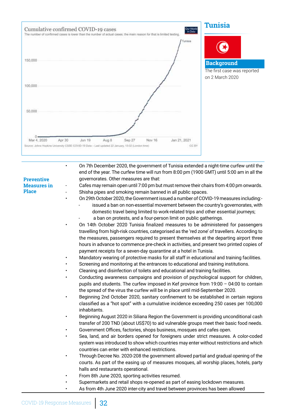

• On 7th December 2020, the government of Tunisia extended a night-time curfew until the end of the year. The curfew time will run from 8:00 pm (1900 GMT) until 5:00 am in all the governorates. Other measures are that:

#### **Preventive Measures in Place**

Cafes may remain open until 7:00 pm but must remove their chairs from 4:00 pm onwards. Shisha pipes and smoking remain banned in all public spaces.

- On 29th October 2020, the Government issued a number of COVID-19 measures including: issued a ban on non-essential movement between the country's governorates, with domestic travel being limited to work-related trips and other essential journeys;
	- a ban on protests, and a four-person limit on public gatherings.
- On 14th October 2020 Tunisia finalized measures to be administered for passengers travelling from high-risk countries, categorised as the 'red zone' of travellers. According to the measures, passengers required to present themselves at the departing airport three hours in advance to commence pre-check in activities, and present two printed copies of payment receipts for a seven-day quarantine at a hotel in Tunisia.
- Mandatory wearing of protective masks for all staff in educational and training facilities.
- Screening and monitoring at the entrances to educational and training institutions.
- Cleaning and disinfection of toilets and educational and training facilities.
- Conducting awareness campaigns and provision of psychological support for children, pupils and students. The curfew imposed in Kef province from 19:00 – 04:00 to contain the spread of the virus the curfew will be in place until mid-September 2020.
- Beginning 2nd October 2020, sanitary confinement to be established in certain regions classified as a "hot spot" with a cumulative incidence exceeding 250 cases per 100,000 inhabitants.
- Beginning August 2020 in Siliana Region the Government is providing unconditional cash transfer of 200 TND (about US\$70) to aid vulnerable groups meet their basic food needs.
- Government Offices, factories, shops business, mosques and cafes open.
- Sea, land, and air borders opened for foreigners under strict measures. A color-coded system was introduced to show which countries may enter without restrictions and which countries can enter with enhanced restrictions.
- Through Decree No. 2020-208 the government allowed partial and gradual opening of the courts. As part of the easing up of measures mosques, all worship places, hotels, party halls and restaurants operational.
- From 8th June 2020, sporting activities resumed.
- Supermarkets and retail shops re-opened as part of easing lockdown measures.
- As from 4th June 2020 inter-city and travel between provinces has been allowed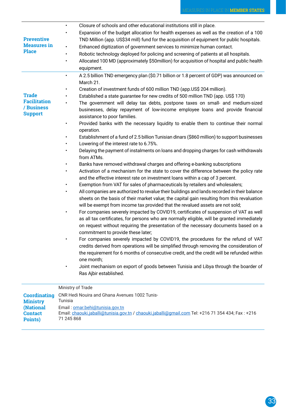| <b>Preventive</b><br><b>Measures</b> in<br><b>Place</b>             | Closure of schools and other educational institutions still in place.<br>$\bullet$<br>Expansion of the budget allocation for health expenses as well as the creation of a 100<br>TND Million (app. US\$34 mill) fund for the acquisition of equipment for public hospitals.<br>Enhanced digitization of government services to minimize human contact.<br>Robotic technology deployed for policing and screening of patients at all hospitals.<br>٠<br>Allocated 100 MD (approximately \$50million) for acquisition of hospital and public health<br>equipment.                                                                                                                                                                                                                                                                                                                                                                                                                                                                                                                                                                                                                                                                                                                                                                                                                                                                                                                                                                                                                                                                                                                                                                                                                                                                                                                                                                                                                                                                                                                                                                                                                                             |
|---------------------------------------------------------------------|-------------------------------------------------------------------------------------------------------------------------------------------------------------------------------------------------------------------------------------------------------------------------------------------------------------------------------------------------------------------------------------------------------------------------------------------------------------------------------------------------------------------------------------------------------------------------------------------------------------------------------------------------------------------------------------------------------------------------------------------------------------------------------------------------------------------------------------------------------------------------------------------------------------------------------------------------------------------------------------------------------------------------------------------------------------------------------------------------------------------------------------------------------------------------------------------------------------------------------------------------------------------------------------------------------------------------------------------------------------------------------------------------------------------------------------------------------------------------------------------------------------------------------------------------------------------------------------------------------------------------------------------------------------------------------------------------------------------------------------------------------------------------------------------------------------------------------------------------------------------------------------------------------------------------------------------------------------------------------------------------------------------------------------------------------------------------------------------------------------------------------------------------------------------------------------------------------------|
| <b>Trade</b><br><b>Facilitation</b><br>/ Business<br><b>Support</b> | A 2.5 billion TND emergency plan (\$0.71 billion or 1.8 percent of GDP) was announced on<br>$\bullet$<br>March 21.<br>Creation of investment funds of 600 million TND (app.US\$ 204 million).<br>Established a state guarantee for new credits of 500 million TND (app. US\$ 170)<br>The government will delay tax debts, postpone taxes on small- and medium-sized<br>businesses, delay repayment of low-income employee loans and provide financial<br>assistance to poor families.<br>Provided banks with the necessary liquidity to enable them to continue their normal<br>operation.<br>Establishment of a fund of 2.5 billion Tunisian dinars (\$860 million) to support businesses<br>Lowering of the interest rate to 6.75%.<br>Delaying the payment of instalments on loans and dropping charges for cash withdrawals<br>from ATMs.<br>Banks have removed withdrawal charges and offering e-banking subscriptions<br>Activation of a mechanism for the state to cover the difference between the policy rate<br>and the effective interest rate on investment loans within a cap of 3 percent.<br>Exemption from VAT for sales of pharmaceuticals by retailers and wholesalers;<br>All companies are authorized to revalue their buildings and lands recorded in their balance<br>sheets on the basis of their market value; the capital gain resulting from this revaluation<br>will be exempt from income tax provided that the revalued assets are not sold;<br>For companies severely impacted by COVID19, certificates of suspension of VAT as well<br>as all tax certificates, for persons who are normally eligible, will be granted immediately<br>on request without requiring the presentation of the necessary documents based on a<br>commitment to provide these later;<br>For companies severely impacted by COVID19, the procedures for the refund of VAT<br>credits derived from operations will be simplified through removing the consideration of<br>the requirement for 6 months of consecutive credit, and the credit will be refunded within<br>one month;<br>Joint mechanism on export of goods between Tunisia and Libya through the boarder of<br>Ras Ajbir established. |
|                                                                     | Ministry of Trade                                                                                                                                                                                                                                                                                                                                                                                                                                                                                                                                                                                                                                                                                                                                                                                                                                                                                                                                                                                                                                                                                                                                                                                                                                                                                                                                                                                                                                                                                                                                                                                                                                                                                                                                                                                                                                                                                                                                                                                                                                                                                                                                                                                           |

| <b>Coordinating</b> | <b>CNR Hedi Nouira and Ghana Avenues 1002 Tunis-</b>                                               |
|---------------------|----------------------------------------------------------------------------------------------------|
| <b>Ministry</b>     | Tunisia                                                                                            |
| <b>(National</b>    | Email: omar.behi@tunisia.gov.tn                                                                    |
| <b>Contact</b>      | Email: chaouki.jaballi@tunisia.gov.tn / chaouki.jaballi@gmail.com Tel: +216 71 354 434; Fax : +216 |
| Points)             | 71 245 868                                                                                         |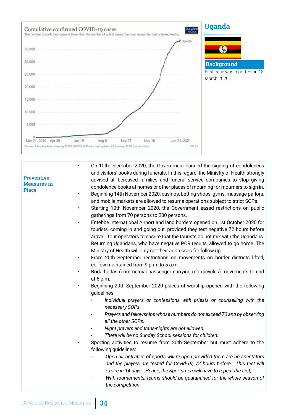

• On 10th December 2020, the Government banned the signing of condolences and visitors' books during funerals. In this regard, the Ministry of Health strongly advised all bereaved families and funeral service companies to stop giving condolence books at homes or other places of mourning for mourners to sign in.

- Beginning 14th November 2020, casinos, betting shops, gyms, massage parlors, and mobile markets are allowed to resume operations subject to strict SOPs.
- Starting 10th November 2020, the Government eased restrictions on public gatherings from 70 persons to 200 persons.
- Entebbe International Airport and land borders opened on 1st October 2020 for tourists, coming in and going out, provided they test negative 72 hours before arrival. Tour operators to ensure that the tourists do not mix with the Ugandans. Returning Ugandans, who have negative PCR results, allowed to go home. The Ministry of Health will only get their addresses for follow up.
- From 20th September restrictions on movements on border districts lifted, curfew maintained from 9 p.m. to 5 a.m;
- Boda-bodas (commercial passenger carrying motorcycles) movements to end at 6 p.m.
- Beginning 20th September 2020 places of worship opened with the following guidelines:
	- *- Individual prayers or confessions with priests or counselling with the necessary SOPs.*
	- *- Prayers and fellowships whose numbers do not exceed 70 and by observing all the other SOPs.*
	- *- Night prayers and trans-nights are not allowed.*
	- *- There will be no Sunday School sessions for children.*
	- Sporting activities to resume from 20th September but must adhere to the following guidelines:
		- *Open air activities of sports will re-open provided there are no spectators and the players are tested for Covid-19, 72 hours before. This test will expire in 14 days. Hence, the Sportsmen will have to repeat the test;*
		- *- With tournaments, teams should be quarantined for the whole season of the competition.*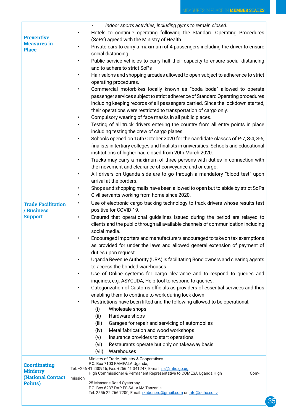٦

|                                             | Indoor sports activities, including gyms to remain closed.                                                             |
|---------------------------------------------|------------------------------------------------------------------------------------------------------------------------|
|                                             | Hotels to continue operating following the Standard Operating Procedures<br>$\bullet$                                  |
| <b>Preventive</b>                           | (SoPs) agreed with the Ministry of Health.                                                                             |
| <b>Measures</b> in<br><b>Place</b>          | Private cars to carry a maximum of 4 passengers including the driver to ensure<br>$\bullet$                            |
|                                             | social distancing                                                                                                      |
|                                             | Public service vehicles to carry half their capacity to ensure social distancing                                       |
|                                             | and to adhere to strict SoPs                                                                                           |
|                                             | Hair salons and shopping arcades allowed to open subject to adherence to strict<br>$\bullet$                           |
|                                             | operating procedures.                                                                                                  |
|                                             | Commercial motorbikes locally known as "boda boda" allowed to operate<br>$\bullet$                                     |
|                                             | passenger services subject to strict adherence of Standard Operating procedures                                        |
|                                             | including keeping records of all passengers carried. Since the lockdown started,                                       |
|                                             | their operations were restricted to transportation of cargo only.                                                      |
|                                             | Compulsory wearing of face masks in all public places.<br>$\bullet$                                                    |
|                                             | Testing of all truck drivers entering the country from all entry points in place                                       |
|                                             | including testing the crew of cargo planes.                                                                            |
|                                             | Schools opened on 15th October 2020 for the candidate classes of P-7, S-4, S-6,<br>$\bullet$                           |
|                                             | finalists in tertiary colleges and finalists in universities. Schools and educational                                  |
|                                             | institutions of higher had closed from 20th March 2020.                                                                |
|                                             | Trucks may carry a maximum of three persons with duties in connection with<br>$\bullet$                                |
|                                             | the movement and clearance of conveyance and or cargo.                                                                 |
|                                             |                                                                                                                        |
|                                             | All drivers on Uganda side are to go through a mandatory "blood test" upon<br>$\bullet$<br>arrival at the borders.     |
|                                             |                                                                                                                        |
|                                             | Shops and shopping malls have been allowed to open but to abide by strict SoPs                                         |
|                                             | Civil servants working from home since 2020.<br>$\bullet$                                                              |
| <b>Trade Facilitation</b><br>/ Business     | Use of electronic cargo tracking technology to track drivers whose results test<br>$\bullet$<br>positive for COVID-19. |
| <b>Support</b>                              | Ensured that operational guidelines issued during the period are relayed to<br>$\bullet$                               |
|                                             | clients and the public through all available channels of communication including                                       |
|                                             | social media.                                                                                                          |
|                                             | Encouraged importers and manufacturers encouraged to take on tax exemptions<br>$\bullet$                               |
|                                             | as provided for under the laws and allowed general extension of payment of                                             |
|                                             | duties upon request.                                                                                                   |
|                                             | Uganda Revenue Authority (URA) is facilitating Bond owners and clearing agents                                         |
|                                             | to access the bonded warehouses.                                                                                       |
|                                             | Use of Online systems for cargo clearance and to respond to queries and<br>$\bullet$                                   |
|                                             | inquiries, e.g. ASYCUDA, Help tool to respond to queries.                                                              |
|                                             | Categorization of Customs officials as providers of essential services and thus                                        |
|                                             | enabling them to continue to work during lock down                                                                     |
|                                             | Restrictions have been lifted and the following allowed to be operational:                                             |
|                                             | (i)<br>Wholesale shops                                                                                                 |
|                                             | Hardware shops<br>(ii)                                                                                                 |
|                                             | Garages for repair and servicing of automobiles<br>(iii)                                                               |
|                                             | (iv)<br>Metal fabrication and wood workshops                                                                           |
|                                             | (v)<br>Insurance providers to start operations                                                                         |
|                                             | (vi)<br>Restaurants operate but only on takeaway basis                                                                 |
|                                             | Warehouses<br>(vii)                                                                                                    |
|                                             | Ministry of Trade, Industry & Cooperatives                                                                             |
| <b>Coordinating</b>                         | P.O. Box 7103 KAMPALA Uganda,<br>Tel: +256 41 230916; Fax: +256 41 341247; E-mail: ps@mtic.go.ug                       |
| <b>Ministry</b><br><b>(National Contact</b> | High Commissioner & Permanent Representative to COMESA Uganda High<br>Com-                                             |
| Points)                                     | mission<br>25 Msasane Road Oysterbay                                                                                   |
|                                             | P.O. Box 6237 DAR ES SALAAM Tanzania                                                                                   |
|                                             | Tel: 2556 22 266 7200; Email: rkabonero@gmail.com or info@ughc.co.tz                                                   |
|                                             |                                                                                                                        |

 $\sqrt{ }$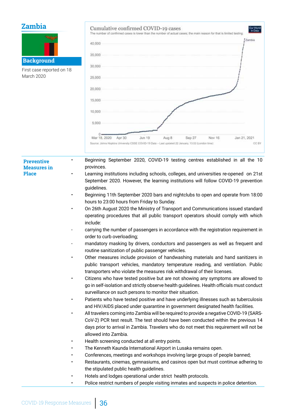# **Zambia**

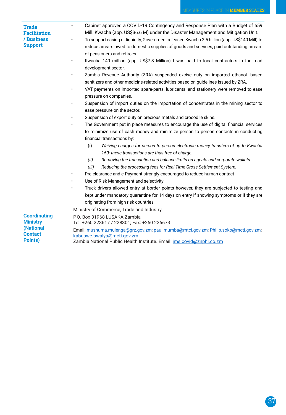| <b>Trade</b><br><b>Facilitation</b><br>/ Business<br><b>Support</b> | Cabinet approved a COVID-19 Contingency and Response Plan with a Budget of 659<br>$\bullet$<br>Mill. Kwacha (app. US\$36.6 M) under the Disaster Management and Mitigation Unit.<br>To support easing of liquidity, Government released Kwacha 2.5 billion (app. US\$140 Mill) to<br>reduce arrears owed to domestic supplies of goods and services, paid outstanding arrears |  |  |  |  |
|---------------------------------------------------------------------|-------------------------------------------------------------------------------------------------------------------------------------------------------------------------------------------------------------------------------------------------------------------------------------------------------------------------------------------------------------------------------|--|--|--|--|
|                                                                     | of pensioners and retirees.                                                                                                                                                                                                                                                                                                                                                   |  |  |  |  |
|                                                                     | Kwacha 140 million (app. US\$7.8 Million) t was paid to local contractors in the road                                                                                                                                                                                                                                                                                         |  |  |  |  |
|                                                                     | development sector.                                                                                                                                                                                                                                                                                                                                                           |  |  |  |  |
|                                                                     | Zambia Revenue Authority (ZRA) suspended excise duty on imported ethanol- based<br>sanitizers and other medicine-related activities based on guidelines issued by ZRA.                                                                                                                                                                                                        |  |  |  |  |
|                                                                     |                                                                                                                                                                                                                                                                                                                                                                               |  |  |  |  |
|                                                                     | VAT payments on imported spare-parts, lubricants, and stationery were removed to ease<br>pressure on companies.                                                                                                                                                                                                                                                               |  |  |  |  |
|                                                                     | Suspension of import duties on the importation of concentrates in the mining sector to                                                                                                                                                                                                                                                                                        |  |  |  |  |
|                                                                     | ease pressure on the sector.                                                                                                                                                                                                                                                                                                                                                  |  |  |  |  |
|                                                                     | Suspension of export duty on precious metals and crocodile skins.                                                                                                                                                                                                                                                                                                             |  |  |  |  |
|                                                                     | The Government put in place measures to encourage the use of digital financial services                                                                                                                                                                                                                                                                                       |  |  |  |  |
|                                                                     | to minimize use of cash money and minimize person to person contacts in conducting                                                                                                                                                                                                                                                                                            |  |  |  |  |
|                                                                     | financial transactions by:                                                                                                                                                                                                                                                                                                                                                    |  |  |  |  |
|                                                                     | (i)<br>Waiving charges for person to person electronic money transfers of up to Kwacha                                                                                                                                                                                                                                                                                        |  |  |  |  |
|                                                                     | 150: these transactions are thus free of charge.                                                                                                                                                                                                                                                                                                                              |  |  |  |  |
|                                                                     | (ii)<br>Removing the transaction and balance limits on agents and corporate wallets.                                                                                                                                                                                                                                                                                          |  |  |  |  |
|                                                                     | Reducing the processing fees for Real Time Gross Settlement System.<br>(iii)                                                                                                                                                                                                                                                                                                  |  |  |  |  |
|                                                                     | Pre-clearance and e-Payment strongly encouraged to reduce human contact                                                                                                                                                                                                                                                                                                       |  |  |  |  |
|                                                                     | Use of Risk Management and selectivity                                                                                                                                                                                                                                                                                                                                        |  |  |  |  |
|                                                                     | Truck drivers allowed entry at border points however, they are subjected to testing and                                                                                                                                                                                                                                                                                       |  |  |  |  |
|                                                                     | kept under mandatory quarantine for 14 days on entry if showing symptoms or if they are                                                                                                                                                                                                                                                                                       |  |  |  |  |
|                                                                     | originating from high risk countries                                                                                                                                                                                                                                                                                                                                          |  |  |  |  |
|                                                                     | Ministry of Commerce, Trade and Industry                                                                                                                                                                                                                                                                                                                                      |  |  |  |  |
| <b>Coordinating</b><br><b>Ministry</b>                              | P.O. Box 31968 LUSAKA Zambia<br>Tel: +260 223617 / 228301; Fax: +260 226673                                                                                                                                                                                                                                                                                                   |  |  |  |  |
| (National<br><b>Contact</b><br>Points)                              | Email: mushuma.mulenga@grz.gov.zm; paul.mumba@mtci.gov.zm; Philip.soko@mcti.gov.zm;<br>kabuswe.bwalya@mcti.gov.zm<br>Zambia National Public Health Institute. Email: ims.covid@znphi.co.zm                                                                                                                                                                                    |  |  |  |  |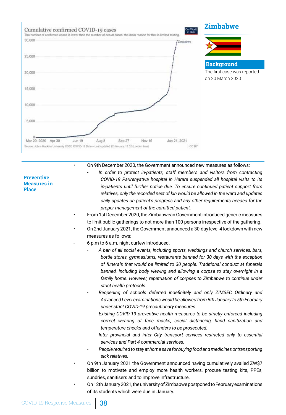

• On 9th December 2020, the Government announced new measures as follows:

**Preventive Measures in Place**

- *In order to protect in-patients, staff members and visitors from contracting COVID-19 Parirenyatwa hospital in Harare suspended all hospital visits to its in-patients until further notice due. To ensure continued patient support from relatives, only the recorded next of kin would be allowed in the ward and updates daily updates on patient's progress and any other requirements needed for the proper management of the admitted patient.*
- From 1st December 2020, the Zimbabwean Government introduced generic measures to limit public gatherings to not more than 100 persons irrespective of the gathering.
- On 2nd January 2021, the Government announced a 30-day level 4 lockdown with new measures as follows:
- 6 p.m to 6 a.m. night curfew introduced.
	- *- A ban of all social events, including sports, weddings and church services, bars, bottle stores, gymnasiums, restaurants banned for 30 days with the exception of funerals that would be limited to 30 people. Traditional conduct at funerals banned, including body viewing and allowing a corpse to stay overnight in a family home. However, repatriation of corpses to Zimbabwe to continue under strict health protocols.*
	- *- Reopening of schools deferred indefinitely and only ZIMSEC Ordinary and Advanced Level examinations would be allowed from 5th January to 5th February under strict COVID-19 precautionary measures.*
	- *Existing COVID-19 preventive health measures to be strictly enforced including correct wearing of face masks, social distancing, hand sanitization and temperature checks and offenders to be prosecuted.*
	- *- Inter provincial and inter City transport services restricted only to essential services and Part 4 commercial services.*
	- *- People required to stay at home save for buying food and medicines or transporting sick relatives.*
- On 9th January 2021 the Government announced having cumulatively availed ZW\$7 billion to motivate and employ more health workers, procure testing kits, PPEs, sundries, sanitisers and to improve infrastructure.
- On 12th January 2021, the university of Zimbabwe postponed to February examinations of its students which were due in January.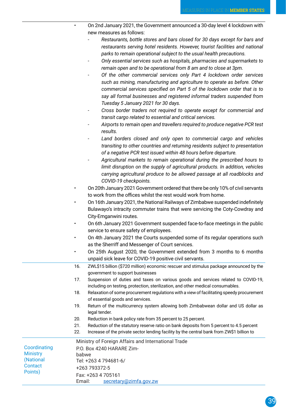|                                 |            | On 2nd January 2021, the Government announced a 30-day level 4 lockdown with                                                                                                                                                                                                                                                                                                                                                                                 |
|---------------------------------|------------|--------------------------------------------------------------------------------------------------------------------------------------------------------------------------------------------------------------------------------------------------------------------------------------------------------------------------------------------------------------------------------------------------------------------------------------------------------------|
|                                 |            | new measures as follows:                                                                                                                                                                                                                                                                                                                                                                                                                                     |
|                                 |            | Restaurants, bottle stores and bars closed for 30 days except for bars and<br>restaurants serving hotel residents. However, tourist facilities and national<br>parks to remain operational subject to the usual health precautions.<br>Only essential services such as hospitals, pharmacies and supermarkets to<br>remain open and to be operational from 8 am and to close at 3pm.<br>Of the other commercial services only Part 4 lockdown order services |
|                                 |            | such as mining, manufacturing and agriculture to operate as before. Other<br>commercial services specified on Part 5 of the lockdown order that is to<br>say all formal businesses and registered informal traders suspended from<br>Tuesday 5 January 2021 for 30 days.                                                                                                                                                                                     |
|                                 |            | Cross border traders not required to operate except for commercial and<br>transit cargo related to essential and critical services.                                                                                                                                                                                                                                                                                                                          |
|                                 |            | Airports to remain open and travellers required to produce negative PCR test<br>results.                                                                                                                                                                                                                                                                                                                                                                     |
|                                 |            | Land borders closed and only open to commercial cargo and vehicles<br>transiting to other countries and returning residents subject to presentation<br>of a negative PCR test issued within 48 hours before departure.<br>Agricultural markets to remain operational during the prescribed hours to                                                                                                                                                          |
|                                 |            | limit disruption on the supply of agricultural products. In addition, vehicles<br>carrying agricultural produce to be allowed passage at all roadblocks and<br>COVID-19 checkpoints.                                                                                                                                                                                                                                                                         |
|                                 |            | On 20th January 2021 Government ordered that there be only 10% of civil servants                                                                                                                                                                                                                                                                                                                                                                             |
|                                 |            | to work from the offices whilst the rest would work from home.                                                                                                                                                                                                                                                                                                                                                                                               |
|                                 |            | On 16th January 2021, the National Railways of Zimbabwe suspended indefinitely                                                                                                                                                                                                                                                                                                                                                                               |
|                                 |            | Bulawayo's intracity commuter trains that were servicing the Coty-Cowdray and                                                                                                                                                                                                                                                                                                                                                                                |
|                                 |            | City-Emganwini routes.                                                                                                                                                                                                                                                                                                                                                                                                                                       |
|                                 |            | On 6th January 2021 Government suspended face-to-face meetings in the public                                                                                                                                                                                                                                                                                                                                                                                 |
|                                 |            | service to ensure safety of employees.                                                                                                                                                                                                                                                                                                                                                                                                                       |
|                                 | ٠          | On 4th January 2021 the Courts suspended some of its regular operations such<br>as the Sherriff and Messenger of Court services.                                                                                                                                                                                                                                                                                                                             |
|                                 |            | On 25th August 2020, the Government extended from 3 months to 6 months<br>unpaid sick leave for COVID-19 positive civil servants.                                                                                                                                                                                                                                                                                                                            |
|                                 | 16.        | ZWL\$15 billion (\$720 million) economic rescuer and stimulus package announced by the<br>government to support businesses                                                                                                                                                                                                                                                                                                                                   |
|                                 | 17.        | Suspension of duties and taxes on various goods and services related to COVID-19,<br>including on testing, protection, sterilization, and other medical consumables.                                                                                                                                                                                                                                                                                         |
|                                 | 18.        | Relaxation of some procurement regulations with a view of facilitating speedy procurement                                                                                                                                                                                                                                                                                                                                                                    |
|                                 | 19.        | of essential goods and services.<br>Return of the multicurrency system allowing both Zimbabwean dollar and US dollar as<br>legal tender.                                                                                                                                                                                                                                                                                                                     |
|                                 | 20.        | Reduction in bank policy rate from 35 percent to 25 percent.                                                                                                                                                                                                                                                                                                                                                                                                 |
|                                 | 21.<br>22. | Reduction of the statutory reserve ratio on bank deposits from 5 percent to 4.5 percent<br>Increase of the private sector lending facility by the central bank from ZW\$1 billion to                                                                                                                                                                                                                                                                         |
| Coordinating<br><b>Ministry</b> |            | Ministry of Foreign Affairs and International Trade<br>P.O. Box 4240 HARARE Zim-                                                                                                                                                                                                                                                                                                                                                                             |
| (National                       | babwe      | Tel: +263 4 794681-6/                                                                                                                                                                                                                                                                                                                                                                                                                                        |
| Contact                         |            | +263 793372-5                                                                                                                                                                                                                                                                                                                                                                                                                                                |
| Points)                         |            | Fax: +263 4 705161                                                                                                                                                                                                                                                                                                                                                                                                                                           |
|                                 | Email:     | secretary@zimfa.gov.zw                                                                                                                                                                                                                                                                                                                                                                                                                                       |